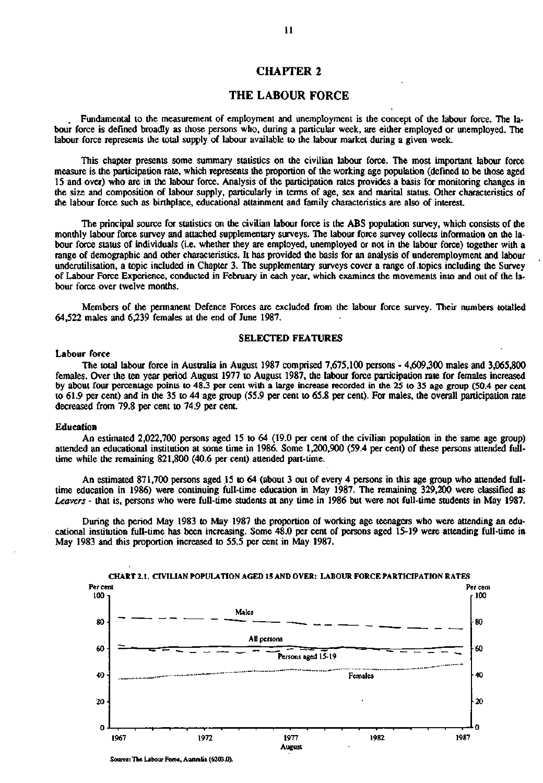# CHAPTER 2

# THE LABOUR FORCE

Fundamental to the measurement of employment and unemployment is the concept of the labour force. The labour force is defined broadly as those persons who, during a particular week, are either employed or unemployed. The labour force represents the total supply of labour available to the labour market during a given week.

This chapter presents some summary statistics on the civilian labour force. The most important labour force measure is the participation rate, which represents the proportion of the working age population (defined to be those aged 15 and over) who are in the labour force. Analysis of the participation rates provides a basis for monitoring changes in the size and composition of labour supply, particularly in terms of age, sex and marital status. Other characteristics of the labour force such as birthplace, educational attainment and family characteristics are also of interest.

The principal source for statistics on the civilian labour force is the ABS population survey, which consists of the monthly labour force survey and attached supplementary surveys. The labour force survey collects information on the labour force status of individuals (i.e. whether they are employed, unemployed or not in the labour force) together with a range of demographic and other characteristics. It has provided the basis for an analysis of underemployment and labour underutilisation, a topic included in Chapter 3. The supplementary surveys cover a range of .topics including the Survey of Labour Force Experience, conducted in February in each year, which examines the movements into and out of the labour force over twelve months.

Members of the permanent Defence Forces are excluded from the labour force survey. Their numbers totalled 64,522 males and 6,239 females at the end of June 1987.

### **SELECTED FEATURES**

### **Labour force**

The total labour force in Australia in August 1987 comprised 7,675,100 persons - 4,609,300 males and 3,065,800 females. Over the ten year period August 1977 to August 1987, the labour force participation rate for females increased by about four percentage points to 48.3 per cent with a large increase recorded in the 25 to 35 age group (50.4 per cent to 61.9 per cent) and in the 35 to 44 age group (55.9 per cent to 65.8 per cent). For males, the overall participation rate decreased from 79.8 per cent to 74.9 per cent.

### **Education**

An estimated 2,022,700 persons aged 15 to 64 (19.0 per cent of the civilian population in the same age group) attended an educational institution at some time in 1986. Some 1,200,900 (59.4 per cent) of these persons attended fulltime while the remaining 821,800 (40.6 per cent) attended part-time.

An estimated 871,700 persons aged 15 to 64 (about 3 out of every 4 persons in this age group who attended fulltime education in 1986) were continuing full-time education in May 1987. The remaining 329,200 were classified as *Leavers -* that is, persons who were full-time students at any time in 1986 but were not full-time students in May 1987.

During the period May 1983 to May 1987 the proportion of working age teenagers who were attending an educational institution full-time has been increasing. Some 48.0 per cent of persons aged 15-19 were attending full-time in May 1983 and this proportion increased to 55.5 per cent in May 1987.



# **CHART 2.1. CIVILIAN POPULATION AGED 15 AND OVER: LABOUR FORCE PARTICIPATION RATES**

Source: The Labour Force, Australia (6203.0).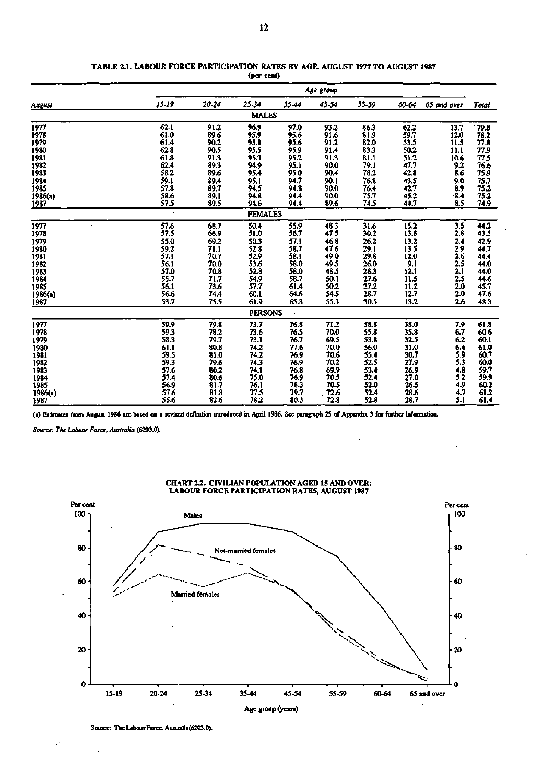|               |                                     |                                            |                                                |            | Age group        |       |                                    |             |                                            |
|---------------|-------------------------------------|--------------------------------------------|------------------------------------------------|------------|------------------|-------|------------------------------------|-------------|--------------------------------------------|
|               | 15-19                               | 20-24                                      | 25.34                                          | 35.44      | 45-54            | 55.59 | 60-64                              | 65 and over | Total                                      |
| <u>August</u> |                                     |                                            | <b>MALES</b>                                   |            |                  |       |                                    |             |                                            |
| 1977          | 62.1                                | 91.2                                       | 96.9                                           | 97.0       | 93.2             | 86.3  |                                    | 13.7        | .79.8                                      |
| 1978          | 61.0                                | 89.6                                       | 95.9                                           | 95.6       | 91.6             | 81.9  | 62.2<br>59.7                       | 12.0        | 78.2                                       |
| 1979          |                                     | 90.2                                       | 95.8                                           | 95.6       | 91.2             | 82.0  | 53.5                               | 11.5        | 77.8                                       |
| 1980          | $61.4$<br>$62.8$                    | 90.5                                       | 95.5                                           | 95.9       | $91.4$<br>91.3   | 83.3  | $\frac{50.2}{51.2}$                | 11.1        | $\frac{77.9}{77.5}$                        |
| 1981          | 61.8                                | 91.3                                       | 95.3                                           | 95.2       |                  | 81.1  |                                    | 10.6        |                                            |
| 1982          | 62.4                                | 89.3                                       | 94.9                                           | 95.1       | 90.0             | 79.1  |                                    | 9.2         | 76.6                                       |
| 1983          | 58.2                                | 89.6                                       | 95.4                                           | 95.0       | 90.4             | 78.2  | 42.8                               | 8.6         | 75.9                                       |
| 1984          |                                     | 89.4                                       | 95.1                                           | 94.7       | 90.1             | 76.8  | 43.5                               | 9.0         | 75.7                                       |
| 1985          |                                     | 89.7                                       | 94.5                                           | 94.8       | 90.0             | 76.4  | 42.7                               | 8.9         |                                            |
| 1986(a)       | 59.1<br>57.8<br>58.6<br>57.5        | 89.1                                       | 94.8                                           | 94.4       | 90.0             | 75.7  | 45.2                               | $-8.4$      | 75.2<br>75.2<br>74.9                       |
| 1987          |                                     | 89.5                                       | 94.6                                           | 94.4       | 89.6             | 74.5  | 44.7                               | 8.5         |                                            |
|               |                                     |                                            | <b>FEMALES</b>                                 |            |                  |       |                                    |             |                                            |
| 1977          | 57.6                                | 68.7                                       | 50.4                                           | 55.9       | 48.3             | 31.6  | 15.2                               | 3.5         | 44.2                                       |
| 1978          | 57.5                                | 66.9                                       | 51.0                                           | 56.7       | 47.5             | 30.2  | 13.8                               | 2.8         | 43.5                                       |
| 1979          | 55.0                                |                                            |                                                | 57.1       | 46.8             | 26.2  |                                    | 2.4         | 42.9                                       |
| 1980          | $\frac{59.2}{57.1}$<br>56.1<br>56.1 | $\frac{69.2}{71.1}$<br>$\frac{70.7}{70.7}$ | $50.3$<br>$52.8$<br>$52.9$<br>$53.6$<br>$52.8$ | 58.7       | 47.6             | 29.1  | $\frac{13.2}{13.5}$                | 2.9         | 44.7                                       |
| 1981          |                                     |                                            |                                                | 58.1       | 49.0             | 29.8  | 12.0                               | 2.6         | 44.4                                       |
| 1982          |                                     | 70.0                                       |                                                | 58.0       | 49.5             | 26.0  |                                    | 2.5         | 44.0                                       |
| 1983          |                                     | $70.8$<br>$71.7$<br>$73.6$                 |                                                | 58.0       | 48.5             | 28.3  | $\frac{9.1}{12.1}$<br>11.5<br>11.2 | 2.1         | 44.0                                       |
| 1984          | 55.7                                |                                            | 54.9                                           | 58.7       | 50.1             | 27.6  |                                    | 2.5         | 44.6                                       |
| 1985          | 56.1                                |                                            | 57,7                                           | 61.4       | 50.2             | 27.2  |                                    | 2.0         | $\frac{45.7}{47.6}$                        |
| 1986(a)       | $\frac{56.6}{53.7}$                 | 74.4                                       | 60.1                                           | 64.6       | 54.5             | 28.7  | $\frac{12.7}{13.2}$                | 2.0         |                                            |
| 1987          |                                     | 75.5                                       | 61.9                                           | 65.8       | 55.3             | 30.5  |                                    | 2.6         | 48.3                                       |
|               |                                     |                                            | <b>PERSONS</b>                                 | $\epsilon$ |                  |       |                                    |             |                                            |
| 1977          | 59.9                                | 79.8                                       | 73.7                                           | 76.8       | 71.2             | 58.8  | 38.0                               | 7.9         | 61.8                                       |
| 1978          | 59.3                                | 78.2                                       | 73.6                                           | 76.5       | 70.0             | 55.8  | 35.8                               | 6.7         | 60.6                                       |
| 1979          | 58.3                                | 79.7                                       | 73.1                                           | 76.7       | 69.5             | 53.8  | 32.5                               | 6.2         | 60.1                                       |
| 1980          | 61.1                                | 80.8                                       | 74.2                                           | 77.6       | 70.0             | 56.0  | 31.0                               | 6.4         | $\frac{61.0}{60.7}$                        |
| 1981          | $\frac{59.5}{59.3}$                 | 81.0                                       | 74.2                                           | 76.9       | 70.6             | 55.4  | $\frac{30.7}{27.9}$                | 5.9         |                                            |
| 1982          |                                     | 79.6                                       | 74.3                                           | 76.9       | 70.2             | 52.5  |                                    | 5.3         | 60.0                                       |
| 1983          | 57.6                                | 80.2                                       | $74.1$<br>$75.0$                               | 76.8       | 69.9             | 53.4  | 26.9<br>27.0<br>26.5               | 4.8         | $\frac{59.7}{59.9}$<br>$\frac{59.9}{60.2}$ |
| 1984          | 57.4<br>56.9                        | $\frac{80.6}{81.7}$                        |                                                | 76.9       | $70.5$<br>$70.5$ | 52.4  |                                    | 5.2         |                                            |
| 1985          |                                     |                                            | 76.1                                           | 78.3       |                  | 52.0  |                                    | 4.9         |                                            |
| 1986(a)       | 57.6                                | 81.8                                       | 77.5                                           | 79.7       | 72.6             | 52.4  | 28.6                               | 4.7         |                                            |
| 1987          | 55.6                                | 82.6                                       | 78.2                                           | 80.3       | 72.8             | 52.8  | 28.7                               | 5.I         | 61.4                                       |

#### **TABLE 2.1. LABOUR FORCE PARTICIPATION RATES BY AGE, AUGUST 1977 TO AUGUST 1987 (per cent)**

**(a) Estimates from August 1986 are based on a revised definition introduced in April 1986. See paragraph 25 of Appendix 3 for further information.** 

*Source: The Labour Force, Australia* **(6203.0).** 

**CHART** *22.* **CIVILIAN POPULATION AGED IS AND OVER: LABOUR FORCE PARTICIPATION RATES, AUGUST 1987** 



**Source: The Labour Force, Australia(6203.0).**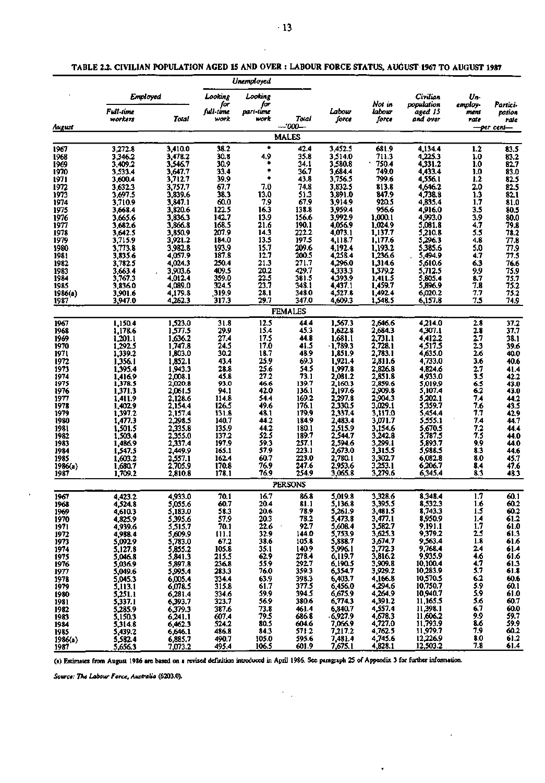# **TABLE** *22.* **CIVILIAN POPULATION AGED 15 AND OVER : LABOUR FORCE STATUS, AUGUST 1967 TO AUGUST 1987**

|                 |                               |                    |                  | Unemployed       |                           |                       |                                     |                               |                 |                     |
|-----------------|-------------------------------|--------------------|------------------|------------------|---------------------------|-----------------------|-------------------------------------|-------------------------------|-----------------|---------------------|
|                 | Employed                      |                    | Looking          | Looking          |                           |                       |                                     | Civilian                      | Un-             |                     |
|                 | <b>Full-time</b>              |                    | for<br>full-time | for<br>part-time |                           | Labour                | Noi in<br>labour                    | population<br>aged 15         | employ-<br>ment | Partici-            |
|                 | workers                       | Total              | work             | work             | Tolal                     | force                 | force                               | and over                      | rate            | pation<br>rale      |
| August          |                               |                    |                  |                  | -- 000                    |                       |                                     |                               |                 | —per cent—          |
|                 |                               |                    |                  |                  | <b>MALES</b>              |                       |                                     |                               |                 |                     |
| 1967<br>1968    | 3.272.8<br>3.346.2            | 3.410.0<br>3,478.2 | 38.2<br>30.8     | ۰<br>4.9         | 42.4<br>35.8              | 3.452.5<br>3,514.0    | 681.9<br>711.3                      | 4.134.4<br>4,225.3            | 1.2<br>1.0      | 83.5<br>83.2        |
| 1969            | 3.409.2                       | 3.546.7            | 30.9             | ۰                | 34.1                      | 3,580.8               | 750.4                               | 4,331.2                       | 1,0             | 82.7                |
| 1970<br>1971    | 3,533.4<br>3,600.4            | 3.647.7<br>3.712.7 | 33.4<br>39.9     | ۰<br>۰           | 36.7<br>43.8              | 3,684.4<br>3,756.5    | 749.0<br>799.6                      | 4,433.4<br>4,556.1            | 1.0<br>1.2      | 83.0<br>82.5        |
| 1972            | 3,632.3                       | 3,757.7            | 67,7             | 7.0              | 74.8                      | 3,832.5               | 813.8                               | 4.646.2                       | 2.0             | 82.5                |
| 1973            | 3,697.5                       | 3,839.6            | 38.3             | 13.0             | 51.3                      | 3,891.0               | 847.9                               | 4.738.8                       | 1.3             | 82.1                |
| 1974<br>1975    | 3.710.9<br>3,668.4            | 3,847.1<br>3,820.6 | 60.0<br>122.5    | 7.9<br>16.3      | 67.9<br>138.8             | 3.914.9<br>3,959.4    | 920.5<br>956.6                      | 4.835.4<br>4,916.0            | 1.7<br>3.5      | 81.0<br>80.5        |
| 1976            | 3,665.6                       | 3,836.3            | 142.7            | 13.9             | 156.6                     | 3,992.9               | 1,000.1                             | 4,993.0                       | 3.9             | 80.0                |
| 1977            | 3,682.6                       | 3,866.8            | 168.5            | 21.6             | 190.1                     | 4,056.9               | 1,024.9                             | 5,081.8                       | 4.7             | 79.8                |
| 1978<br>1979    | 3,642.5<br>3,715.9            | 3,850.9<br>3.921.2 | 207.9<br>184.0   | 14.3<br>13.5     | 222.2<br>197.5            | 4,073.1<br>4,118.7    | 1,137.7<br>1,177.6                  | 5.210.8<br>5.296.3            | 5.5<br>4.8      | 78.2<br>77.8        |
| 1980            | 3,773.8                       | 3.982.8            | 193.9            | 15.7             | 209.6                     | 4,192.4               | 1,193.2                             | 5.385.6                       | 5.0             | 77.9                |
| 1981            | 3,835.6                       | 4,057.9            | 187.8            | 12.7             | 200.5                     | 4,258.4               | 1,236.6                             | 5,494.9                       | 4.7             | 77.5                |
| 1982<br>1983    | 3,782.5<br>3.663.4            | 4.024.3<br>3,903.6 | 250.4<br>409.5   | 21.3<br>20.2     | 271.7<br>429.7            | 4.296.0<br>4,333.3    | 1.314.6<br>1,379.2                  | 5.610.6<br>5,712.5            | 6.3<br>9.9      | 76.6<br>75.9        |
| 1984            | 3,767.3                       | 4.012.4            | 359.0            | 22.5             | 381.5                     | 4,393.9               | 1,411.5                             | 5,805.4                       | 8.7             | 75.7                |
| 1985<br>1986(a) | 3,836.0                       | 4,089.0<br>4,179.8 | 324.5<br>319.9   | 23.7<br>28.1     | 348.1<br>348.0            | 4.437.1<br>4,527.8    | 1,459.7<br>1,492.4                  | 5.896.9<br>6,020.2            | 7.8<br>7.7      | 75.2<br>75.2        |
| 1987            | 3,901.6<br>3,947.0            | 4,262.3            | 317.3            | 29.7             | 347.0                     | 4,609.3               | 1,548.5                             | 6,157.8                       | 7.5             | 74.9                |
|                 |                               |                    |                  |                  | <b>FEMALES</b>            |                       |                                     |                               |                 |                     |
| 1967            | 1,150.4                       | 1,523.0            | 31.8             | 12.5             | 44.4                      | 1,567.3               | 2,646.6                             | 4.214.0                       | 2.8             | 37.2<br>37.7        |
| 1968            | 1.178.6                       | 1,577.5            | 29.9             | 15.4<br>17.5     | 45.3                      | 1,622.8               | 2,684.3                             | 4,307.1                       | 28              | 38.1                |
| 1969<br>1970    | 1.201.1<br>1.292.5            | 1,636.2<br>1.747.8 | 27.4<br>24.5     | 17.0             | 44.8<br>41.5              | 1,681.1<br>$-1,789.3$ | 2,731.1<br>2,728.1                  | 4,412.2<br>4.517.5            | 2.7<br>23       | 39.6                |
| 1971            | 1,339.2                       | 1,803.0            | 30.2             | 18.7             | 48.9                      | 1,851.9               | 2,783.1                             | 4,635.0                       | 26              | 40.0                |
| 1972<br>1973    | 1.356.1<br>1,395.4            | 1.852.1<br>1.943.3 | 43.4<br>28.8     | 25.9<br>25.6     | 69.3<br>54.5              | 1,921.4<br>1,997.8    | 2,811.6<br>2,826.8                  | 4,733.0<br>4.824.6            | 3.6<br>2.7      | 40.6<br>41.4        |
| 1974            | 1,416.9                       | 2.008.1            | 45.8             | 27.2             | 73.1                      | 2,081.2               | 2,851.8                             | 4,933.0                       | 3.5             | 42.2                |
| 1975            | 1,378.5                       | 2,020.8            | 93.0             | 46.6<br>42.0     | 139.7<br>136.1            | 2,160.3               | 2,859.6                             | 5,019.9<br>5,107.4            | 6.5<br>6.2      | 43.0                |
| 1976<br>1977    | 1,371.3<br>1.411.9            | 2.061.5<br>2.128.6 | 94.1<br>114.8    | 54.4             | 169.2                     | 2,197.6<br>2.297.8    | 2,909.8<br>2.904.3                  | 5.202.1                       | 7.4             | 43.0<br>44.2        |
| 1978            | 1,402.9                       | 2,154.4            | 126.5            | 49.6             | 176.1                     | 2.330.5               | 3,029.1                             | 5.359.7                       | 7.6             | 43.5                |
| 1979<br>1980    | 1.397.2<br>1.477.3            | 2,157.4<br>2.298.5 | 131.8<br>140.7   | 48.1<br>44.2     | 179.9<br>184.9            | 2,337.4<br>2,483.4    | 3,117.0<br>3.071.7                  | 5,454.4<br>5.555.1            | 7.7<br>7.4      | 42.9<br>44.7        |
| 1981            | 1.501.5                       | 2,335.8            | 135.9            | 44.2             | 180.1                     | 2,515.9               | 3.154.6                             | 5,670.5                       | 7.2             | 44.4                |
| 1982            | 1.503.4                       | 2,355.0            | 137.2            | 52.5             | 189.7                     | 2,544.7               | 3,242.8                             | 5,787.5                       | 7.5             | 44.0                |
| 1983<br>1984    | 1.486.9<br>1,547.5            | 2.337.4<br>2.449.9 | 197.9<br>165.1   | 59.3<br>57.9     | 257.1<br>223.1            | 2,594.6<br>2.673.0    | 3.299.1<br>3,315.5                  | 5,893.7<br>5,988.5            | 9.9<br>8.3      | 44.0<br>44.6        |
| 1985            | 1,603.2                       | 2.557.1            | 162.4            | 60.7             | 223.0                     | 2,780.1               | 3,302.7                             | 6,082.8                       | 8.0             | 45.7                |
| 1986(a)<br>1987 | 1,680.7<br>1.709.2            | 2,705.9<br>2,810.8 | 170.8<br>178.1   | 76.9<br>76.9     | 247.6<br>254.9            | 2.953.6<br>3.065.8    | 3,253.1<br>3,279.6                  | 6,206.7<br>6,345.4            | 8.4<br>8.3      | 47.6<br>48.3        |
|                 |                               |                    |                  |                  | <b>PERSONS</b>            |                       |                                     |                               |                 |                     |
| 1967            | 4,423.2                       | 4,933.0            | 70.1             | 16.7             | 86.8                      | 5,019.8               | 3,328.6                             | 8.348.4                       | 1.7             | 60.1                |
| 1968            | 4,524.8                       | 5,055.6            | 60.7             | 20.4             | 81.1                      | 5,136.8               | 3,395.5                             | 8,532.3<br>8,743.3<br>8,950.9 | 1.6             | 60.2                |
| 1969            | 4,610.3                       | 5,183.0            | 58.3             | 20.6             | 78.9                      | 5,261.9               | $3,481.5$<br>$3,477.1$              |                               | 1.5             | 60.2                |
| 1970<br>1971    | 4,825.9<br>4,939.6            | 5,395.6<br>5,515.7 | 57.9<br>70.1     | 20.3<br>22.6     | 78.2<br>92.7<br>$\,$ $\,$ | 5,473.8<br>5,608.4    |                                     | 9,191.1                       | 1.4<br>1,7      | 61.2                |
| 1972            |                               | 5,609.9            | 111.1            | 32.9             | 144.0                     | 5,753.9               | $3,582.7$<br>$3,625.3$<br>$3,674.7$ | 9,379.2                       | 2.5             | $\frac{61.0}{61.3}$ |
| 1973<br>1974    | 4,988.4<br>5,092.9<br>5,127.8 | 5,783.0<br>5,855.2 | 67.2<br>105.8    | 38.6<br>35.1     | 105.8<br>140.9            | 5,888.7               |                                     | 9,563.4<br>9,768.4            | 1.8<br>2.4      | 61.6                |
| 1975            | 5,046.8                       | 5,841.3            | 215.5            | 62.9             | 278.4                     | $5,996.1$<br>6,119.7  | 3,772.3<br>3,816.2                  | 9,935.9                       | 4.6             | $61.4$<br>$61.6$    |
| 1976            | 5,036.9                       | 5,897.8            | 236.8            | 55.9             | $\frac{292.7}{359.3}$     | 6,190.5               | 3,909.8                             | 10,100.4                      | 4.7             | 61.3                |
| 1977<br>1978    | 5,049.6<br>5,045.3            | 5,995.4<br>6,005.4 | 283.3<br>334.4   | 76.0<br>63.9     | 398.3                     | 6,354.7<br>6,403.7    | 3,929.2<br>4,166.8                  | 10,283.9<br>10,570.5          | 5.7<br>6.2      | 61.8<br>60.6        |
| 1979            | 5,113.1                       | 6,078.5            | 315.8            | 61.7             | 377.5                     | 6,456.0               | 4,294.6                             | 10,750.7                      | 5.9             | 60.1                |
| 1980            | 5,251.1<br>5,337.1            | 6,281.4            | 334.6<br>323.7   | 59.9<br>56.9     | 394.5<br>380.6            | 6,675.9<br>6,774.3    | 4,264.9<br>4,391.2                  | 10,940.7<br>11,165.5          | 5.9<br>5.6      | 61.0<br>60.7        |
| 1981<br>1982    | 5,285.9                       | 6,393.7<br>6,379.3 | 387.6            | 73.8             | 461.4                     | 6,840.7               | 4,557.4                             | 11,398.1                      | 6.7             | 60.0                |
| 1983            | 5,150.3                       | 6,241.1            | 607.4            | 79.5             | 686.8                     | $-6,927.9$            | 4,678.3                             | 11,606.2<br>11,793.9          | 9.9             | 59.7                |
| 1984<br>1985    | 5,314.8<br>5,439.2            | 6,462.3<br>6,646.1 | 524.2<br>486.8   | 80.5<br>84.3     | 604.6<br>571.2            | 7,066.9<br>7,217.2    | 4,727.0<br>4,762.5                  |                               | 8.6<br>7.9      | 59.9<br>60.2        |
| 1986(a)         | 5,582.4                       | 6,885.7            | 490.7            | 105.0            | 595.6                     | 7,481.4               | 4,745.6                             | 11,979.7                      | 8.0             | 61.2                |
| 1987            | 5,656.3                       | 7,073.2            | 495.4            | 106.5            | 601.9                     | 7,675.1               | 4,828.1                             | 12,503.2                      | 7.8             | 61.4                |

**(a) Estimates from August 1986 are based on a revised definition introduced in April 1986. See paragraph 25 of Appendix 3 for further information.** 

 $\frac{1}{2} \frac{1}{2}$ 

*Source: The Labour Force, Australia* **(6203.0).**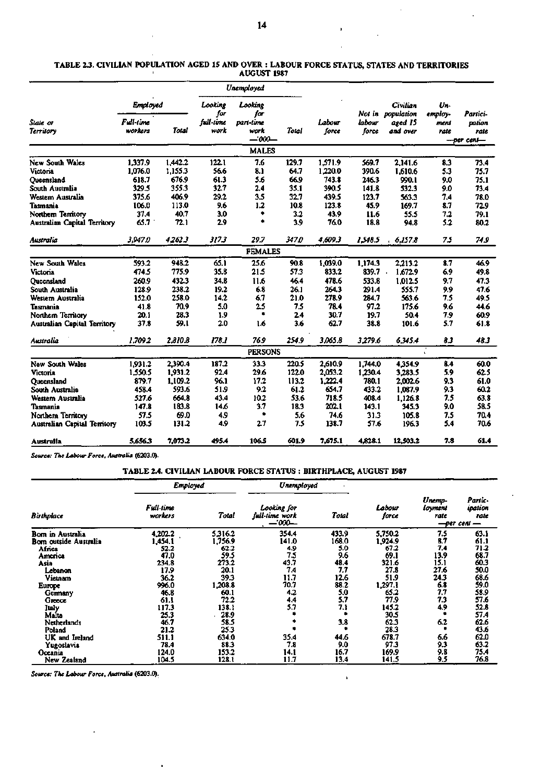$\overline{a}$ 

#### **TABLE** *23.* **CIVILIAN POPULATION AGED 15 AND OVER : LABOUR FORCE STATUS, STATES AND TERRITORIES AUGUST 1987**

|                                                    |                      |              |                   | Unemployed              |            |                 |                |                               |                |                |
|----------------------------------------------------|----------------------|--------------|-------------------|-------------------------|------------|-----------------|----------------|-------------------------------|----------------|----------------|
|                                                    | Employed             |              | Looking<br>for    | Looking<br>for          |            |                 |                | Civilian<br>Not in population | Un-<br>employ- | Partici-       |
| State or<br><b>Territory</b>                       | Full-time<br>workers | Total        | full-time<br>work | part-time<br>work       | Total      | Labour<br>force | labow<br>force | aged 15<br>and over           | meni<br>rate   | pation<br>rale |
|                                                    |                      |              |                   | $-300-$<br><b>MALES</b> |            |                 |                |                               |                | ---per cent--- |
|                                                    |                      |              |                   |                         |            |                 |                |                               |                |                |
| New South Wales                                    | 1,337.9              | 1,442.2      | 122.1             | 7.6                     | 129.7      | 1,571.9         | 569.7          | 2,141.6                       | 8.3            | 73.4           |
| Victoria                                           | 1.076.0              | 1,155.3      | 56.6              | 8.1                     | 64.7       | 1,220.0         | 390.6          | 1,610.6                       | 5.3            | 75.7           |
| Oueensland                                         | 618.7                | 676.9        | 61.3              | 5.6                     | 66.9       | 743.8           | 246.3          | 990.1                         | 9.0            | 75.1           |
| South Australia                                    | 329.5                | 355.3        | 32.7              | 2.4                     | 35.1       | 390.5           | 141.8          | 532.3                         | 9.0            | 73.4           |
| Western Australia                                  | 375.6                | 406.9        | 29.2              | 3.5                     | 32.7       | 439.5           | 123.7          | 563.3                         | 7.4            | 78.0           |
| Tasmania                                           | 106.0                | 113.0        | 9.6               | 1.2<br>۰                | 10.8       | 123.8           | 45.9           | 169.7                         | 8.7            | 72.9           |
| Northern Territory<br>Australian Capital Territory | 37.4<br>65.7         | 40.7<br>72.1 | 3.0<br>29         | ٠                       | 3.2<br>3.9 | 43.9<br>76.0    | 11.6<br>18.8   | 55.5<br>94.8                  | 7.2<br>5.2     | 79.1<br>80.2   |
|                                                    |                      |              |                   |                         |            |                 |                |                               |                |                |
| Australia                                          | 3.947.0              | 4.262.3      | 3173              | 29.7                    | 347.D      | 4.609.3         | 1548.5         | 6.157.8                       | 75             | 74.9           |
|                                                    |                      |              |                   | <b>FEMALES</b>          |            |                 |                |                               |                |                |
| New South Wales                                    | 593.2                | 948.2        | 65.1              | 25.6                    | 90.8       | 1,039.0         | 1,174.3        | 2,213.2                       | 8.7            | 46.9           |
| Victoria                                           | 474.5                | 775.9        | 35.8              | 21.5                    | 57.3       | 833.2           | 839.7          | 1,672.9                       | 6.9            | 49.8           |
| Oueensland                                         | 260.9                | 432.3        | 34.8              | 11.6                    | 46.4       | 478.6           | 533.8          | 1.012.5                       | 9.7            | 47.3           |
| South Australia                                    | 128.9                | 238.2        | 19.2              | 6.8                     | 26.1       | 264.3           | 291.4          | 555.7                         | 9.9            | 47.6           |
| Western Australia                                  | 152.0                | 258.0        | 14.2              | 6.7                     | 21.0       | 278.9           | 284.7          | 563.6                         | 7.5            | 49.5           |
| Tasmania                                           | 41.8                 | 70.9         | 5.0               | 2.5                     | 7.5        | 78.4            | 97.2           | 175.6                         | 9.6            | 44.6           |
| Northern Territory                                 | 20.1                 | 28.3         | 1.9               | ٠                       | 24         | 30.7            | 19.7           | 50.4                          | 7.9            | 60.9           |
| Australian Capital Territory                       | 37.8                 | 59.1         | 2.0               | 1.6                     | 3.6        | 62.7            | 38.8           | 101.6                         | 5.7            | 61.8           |
| Australia                                          | 1.709.2              | 2.810.8      | 178.1             | 76.9                    | 254.9      | 3.065.8         | 3,279.6        | 6345.4                        | 83             | 48.3           |
|                                                    |                      |              |                   | <b>PERSONS</b>          |            |                 |                |                               |                |                |
| New South Wales                                    | 1,931.2              | 2,390.4      | 187.2             | 33.3                    | 220.5      | 2,610.9         | 1.744.0        | 4,354.9                       | 8.4            | 60.0           |
| Victoria                                           | 1,550.5              | 1,931.2      | 92.4              | 29.6                    | 122.0      | 2,053.2         | 1.230.4        | 3.283.5                       | 5.9            | 62.5           |
| Oveensland                                         | 879.7                | 1.109.2      | 96.1              | 17.2                    | 113.2      | 1.222.4         | 780.1          | 2,002.6                       | 9.3            | 61.0           |
| South Australia                                    | 458.4                | 593.6        | 51.9              | 9.2                     | 61.2       | 654.7           | 433.2          | 1,087.9                       | 9.3            | 60.2           |
| Western Australia                                  | 527.6                | 664.8        | 43.4              | 10.2                    | 53.6       | 718.5           | 408.4          | 1.126.8                       | 7.5            | 63.8           |
| Tasmania                                           | 147.8                | 183.8        | 14.6              | 3.7                     | 18.3       | 202.1           | 143.1          | 345.3                         | 9.0            | 58.5           |
| Northern Territory                                 | 57.5                 | 69.0         | 4.9               | ۰                       | 5.6        | 74.6            | 31.3           | 105.8                         | 7.5            | 70.4           |
| <b>Australian Capital Territory</b>                | 103.5                | 131.2        | 4.9               | 27                      | 75         | 138.7           | 57.6           | 196.3                         | 5.4            | 70.6           |
| Australia                                          | 5,656.3              | 7.073.2      | 495.4             | 106.5                   | 601.9      | 7,675.1         | 4,828.1        | 12,503.2                      | 7.8            | 61.4           |

*Source: The Labour Force. Australia* **(6203.0).** 

# **TABLE 2.4. CIVILIAN LABOUR FORCE STATUS : BIRTHPLACE, AUGUST 1987**

|                       | Employed             |         | Unemployed                               |       |                 |                           |                                           |
|-----------------------|----------------------|---------|------------------------------------------|-------|-----------------|---------------------------|-------------------------------------------|
| <b>Birthplace</b>     | Full-time<br>workers | Total   | Looking for<br>full-time work<br>$-000-$ | Total | Labour<br>force | Unemp-<br>loyment<br>rate | Partic-<br>ipation<br>rate<br>-per cent - |
| Bom in Australia      | 4,202.2              | 5.316.2 | 354.4                                    | 433.9 | 5,750.2         | 7.5                       | 63.1                                      |
| Bom outside Australia | 1,454.1              | 1,756.9 | 141.0                                    | 168.0 | 1,924.9         | 8.7                       | 61.1                                      |
| Africa                | 52.2                 | 62.2    | 4.9                                      | 5.0   | 67.2            | 7,4                       | 71.2                                      |
| America               | 47.0                 | 59.5    | 7.5                                      | 9.6   | 69.1            | 13.9                      | 68.7                                      |
| Asia                  | 234.8                | 273.2   | 43.7                                     | 48.4  | 321.6           | 15.1                      | 60.3                                      |
| Lebanon               | 17.9                 | 20.1    | 7.4                                      | 7.7   | 27.8            | 27.6                      | 50.0                                      |
| Vietnam               | 36.2                 | 39.3    | 11.7                                     | 12.6  | 51.9            | 24.3                      | 68.6                                      |
| Europe                | 996.0                | 1,208.8 | 70.7                                     | 88.2  | 1,297.1         | 6.8                       | 59.0                                      |
| Germany               | 46.8                 | 60.1    | 4.2                                      | 5.0   | 65.2            | 7.7                       | 58.9                                      |
| Greece                | 61.1                 | 72.2    | 4.4                                      | 5.7   | 77.9            | 7.3                       | 57.6                                      |
| Jialy                 | 117.3                | 138.1   | 57                                       | 7.1   | 145.2           | 4.9                       | 52.8                                      |
| Malta                 | 25.3                 | 28.9    |                                          |       | 30.5            |                           | 57.4                                      |
| Netherlands           | 46.7                 | 58.5    |                                          | 3.8   | 62.3            | 6.2                       | 62.6                                      |
| Poland                | 21.2                 | 25.3    |                                          |       | 28.3            |                           | 43.6                                      |
| UK and Ireland        | 511.1                | 634.0   | 35.4                                     | 44.6  | 678.7           | 6.6                       | 62.0                                      |
| Yugoslavia            | 78.4                 | 88.3    | 7.8                                      | 9.0   | 97.3            | 9.3                       | 63.2                                      |
| Oceania               | 124.0                | 153.2   | 14.1                                     | 16.7  | 169.9           | 9.8                       | 75.4                                      |
| New Zealand           | 104.5                | 128.1   | 11.7                                     | 13.4  | 141.5           | 9.5                       | 76.8                                      |

*Source: The Labour Force, Australia* **(6203.0).** 

 $\overline{1}$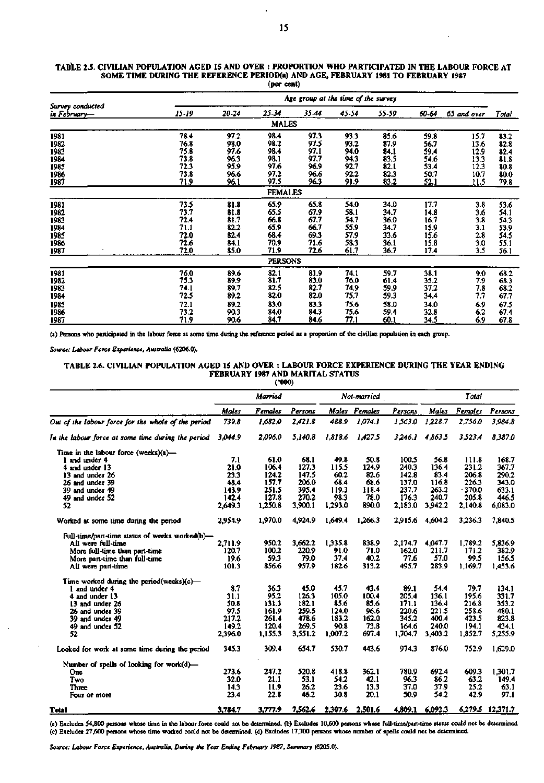#### **TABLE 2.5. CIVILIAN POPULATION AGED 15 AND OVER : PROPORTION WHO PARTICIPATED IN THE** LABOUR FORCE AT **SOME TIME DURING THE REFERENCE PERIOD(a) AND AGE, FEBRUARY 1981 TO FEBRUARY** 1987 **(per cent)**

|                                  |       |       |                | Age group at the time of the survey |       |              |       |             |       |
|----------------------------------|-------|-------|----------------|-------------------------------------|-------|--------------|-------|-------------|-------|
| Survey conducted<br>in February— | 15-19 | 20-24 | 25-34          | 35.44                               | 45.54 | 55-59        | 60-64 | 65 and over | Total |
|                                  |       |       | <b>MALES</b>   |                                     |       |              |       |             |       |
| 1981                             | 78.4  | 97.2  | 98.4           | 97.3                                | 93.3  | 85.6         | 59.8  | 15.7        | 83.2  |
|                                  | 76.8  | 98.0  | 98.2           | 97.5                                | 93.2  | 87.9         | 56.7  | 13.6        | 82.8  |
|                                  | 75.8  | 97.6  | 98.4           | 97.1                                | 94.0  |              | 59.4  | 12.9        | 82.4  |
| 1982<br>1983<br>1984             | 73.8  | 96.3  | 98.1           | 97.7                                | 94.3  | 84.1<br>83.5 | 54.6  | 13.3        | 81.8  |
| 1985                             | 72.3  | 95.9  | 97.6           | 96.9                                | 92.7  | 82.1         | 53.4  | 12.3        | 80.8  |
| 1986                             | 73.8  | 96.6  | 97.2           | 96.6                                | 92.2  | 82.3         | 50.7  | 10.7        | 80.0  |
| 1987                             | 71.9  | 96.1  | 97.5           | 96.3                                | 91.9  | 83.2         | 52.1  | 11.5        | 79.8  |
|                                  |       |       | <b>FEMALES</b> |                                     |       |              |       |             |       |
| 1981                             | 73.5  | 81.8  | 65.9           | 65.8                                | 54.0  | 34.0         | 17.7  | 3.8         | 53.6  |
| 1982                             | 73.7  | 81.8  | 65.5           | 67.9                                | 58.1  | 34.7         | 14.8  | 3.6         | 54.1  |
| 1983                             | 72.4  | 81.7  | 66.8           | 67.7                                | 54.7  | 36.0         | 16.7  | 3.8         | 54.3  |
| 1984                             | 71.1  | 82.2  | 65.9           | 66.7                                | 55.9  | 34.7         | 15.9  | 3.1         | 53.9  |
| 1985                             | 72.0  | 82.4  | 68.4           | 69.3                                | 57.9  | 33.6         | 15.6  | 2.8         | 54.5  |
| 1986                             | 72.6  | 84.1  | 70.9           | 71.6                                | 58.3  | 36.1         | 15.8  | 3.0         | 55.1  |
| 1987                             | 72.0  | 85.0  | <u>71.9</u>    | 72.6                                | 61.7  | 36.7         | 17.4  | 3.5         | 56.1  |
|                                  |       |       | <b>PERSONS</b> |                                     |       |              |       |             |       |
| 1981                             | 76.0  | 89.6  | 82.1           | 81.9                                | 74.1  | 59.7         | 38.1  | 9.0         | 68.2  |
| 1982                             | 75.3  | 89.9  | 81.7           | 83.0                                | 76.0  | 61.4         | 35.2  | 7.9         | 68.3  |
| 1983                             | 74.1  | 89.7  | 82.5           | 82.7                                | 74,9  | 59.9         | 37.2  | 7.8         | 68.2  |
| 1984                             | 72.5  | 89.2  | 82.0           | 82.0                                | 75.7  | 59.3         | 34.4  | 7.7         | 67.7  |
| 1985                             | 72.1  | 89.2  | 83.0           | 83.3                                | 75.6  | 58.0         | 34.0  | 6.9         | 67.5  |
| 1986                             | 73.2  | 90.3  | 84.0           | 84.3                                | 75.6  | 59.4         | 32.8  | 6.2         | 67.4  |
| 1987                             | 71.9  | 90.6  | 84.7           | 84.6                                | 77.1  | 60.1         | 34.5  | 6.9         | 67.8  |

(a) Persons who participated in the labour force at some time during the reference period as a proportion of the civilian population in each group.

*Source: Labour Font Experience, Australia* **(6206.0).** 

### **TABLE 2.6. CIVILIAN POPULATION AGED 15 AND OVER : LABOUR FORCE EXPERIENCE DURING THE YEAR** ENDING **FEBRUARY 1987 AND MARITAL** STATUS ('000)

|                                                     |         | Married |         |         | Not-married   |         |         | Total    |                  |
|-----------------------------------------------------|---------|---------|---------|---------|---------------|---------|---------|----------|------------------|
|                                                     | Males   | Females | Persons |         | Males Females | Persons | Males   | Females  | Persons          |
| Out of the labour force for the whole of the period | 739.8   | 1,682.0 | 2.421.8 | 488.9   | 1,074.1       | 1,563.0 | 1228.7  | 2.756.0  | 3,984.8          |
| In the labour force at some time during the period  | 3,044.9 | 2,096.0 | 5,140.8 | 1,818.6 | 1.427.5       | 3,246.1 | 4.863.5 | 3,523.4  | 8,387.0          |
| Time in the labour force $(weeks)(a)$ —             |         |         |         |         |               |         |         |          |                  |
| and under 4                                         | 7.1     | 61.0    | 68.1    | 49.8    | 50.8          | 100.5   | 56.8    | 111.8    | 168.7            |
| 4 and under 13                                      | 21.0    | 106.4   | 127.3   | 115.5   | 124.9         | 240.3   | 136.4   | 231.2    | 367.7            |
| 13 and under 26                                     | 23.3    | 124.2   | 147.5   | 60.2    | 82.6          | 142.8   | 83.4    | 206.8    | 290.2            |
| 26 and under 39                                     | 48.4    | 157.7   | 206.0   | 68.4    | 68.6          | 137.0   | 116.8   | 226.3    | 343.0            |
| 39 and under 49                                     | 143.9   | 251.5   | 395.4   | 119.3   | 118.4         | 237.7   | 263.2   | $-370.0$ | 633.1            |
| 49 and under 52                                     | 142.4   | 127.8   | 270.2   | 98.3    | 78.0          | 176.3   | 240.7   | 205.8    | 446.5            |
| 52                                                  | 2,649.3 | 1,250.8 | 3,900.1 | 1,293.0 | 890.0         | 2.183.0 | 3,942.2 | 2,140.8  | 6,083.0          |
| Worked at some time during the period               | 2,954.9 | 1,970.0 | 4.924.9 | 1.649.4 | 1.266.3       | 2.915.6 | 4,604.2 | 3,236.3  | 7,840.5          |
| Full-time/part-time status of weeks worked(b)-      |         |         |         |         |               |         |         |          |                  |
| All were full-time                                  | 2.711.9 | 950.2   | 3.662.2 | 1.335.8 | 838.9         | 2,174.7 | 4,047.7 | 1,789.2  | 5,836.9          |
| More full-time than part-time                       | 120.7   | 100.2   | 220.9   | 91.0    | 71.0          | 162.0   | 211.7   | 171.2    | 382.9            |
| More part-time than full-time                       | 19.6    | 59.3    | 79.0    | 37.4    | 40.2          | 77.6    | 57.0    | 99.5     | 156.5            |
| All were part-time                                  | 101.3   | 856.6   | 957.9   | 182.6   | 313.2         | 495.7   | 283.9   | 1,169.7  | 1,453.6          |
| Time worked during the period(weeks) $(c)$ —        |         |         |         |         |               |         |         |          |                  |
| 1 and under 4                                       | 8.7     | 36.3    | 45.0    | 45.7    | 43.4          | 89.1    | 54.4    | 79.7     | 134.1            |
| 4 and under 13                                      | 31.1    | 95.2    | 126.3   | 105.0   | 100.4         | 205.4   | 136.1   | 195.6    | 331.7            |
| 13 and under 26                                     | 50.8    | 131.3   | 182.1   | 85.6    | 85.6          | 171.1   | 136.4   | 216.8    | 353.2            |
| 26 and under 39                                     | 97.5    | 161.9   | 259.5   | 124.0   | 96.6          | 220.6   | 221.5   | 258.6    | 480.1            |
| 39 and under 49                                     | 217.2   | 261.4   | 478.6   | 183.2   | 162.0         | 345.2   | 400.4   | 423.5    | 823.8            |
| 49 and under 52                                     | 149.2   | 120.4   | 269.5   | 90.8    | 73.8          | 164.6   | 240.0   | 194.1    | 434.1            |
| 52                                                  | 2,396.0 | 1,155.3 | 3,551.2 | 1,007.2 | 697.4         | 1,704.7 | 3,403.2 | 1,852.7  | 5,255.9          |
| Looked for work at some time during the period      | 345.3   | 309.4   | 654.7   | 530.7   | 443.6         | 974.3   | 876.0   | 752.9    | 1,629.0          |
| Number of spells of looking for work(d)-            |         |         |         |         |               |         |         |          |                  |
| <b>One</b>                                          | 273.6   | 247.2   | 520.8   | 418.8   | 362.1         | 780.9   | 692.4   | 609.3    | 1.301.7          |
| Two                                                 | 32.0    | 21.1    | 53.1    | 54.2    | 42.1          | 96.3    | 86.2    | 63.2     | 149.4            |
| Three                                               | 14.3    | 11.9    | 26.2    | 23.6    | 13.3          | 37.0    | 37.9    | 25.2     | 63.1             |
| Four or more                                        | 23.4    | 22.8    | 46.2    | 30.8    | 20.1          | 50.9    | 54.2    | 42.9     | 97.1             |
| Total                                               | 3,784.7 | 3,777.9 | 7,562.6 | 2,307.6 | 2,501.6       | 4,809.1 | 6,092.3 |          | 6,279.5 12,371.7 |

(a) Excludes 54,800 persons whose time in the labour force could not be determined, (b) Excludes 10,600 persons whose full-time/part-time status could not be determined, (c) Excludes 27,600 persons whose time worked could not be determined, (d) Excludes 17,700 persons whose number of spells could not be determined.

**15** 

*Source: Labour Force Experience, Australia, During the Year Ending February 1987, Summary* **(6205.0).**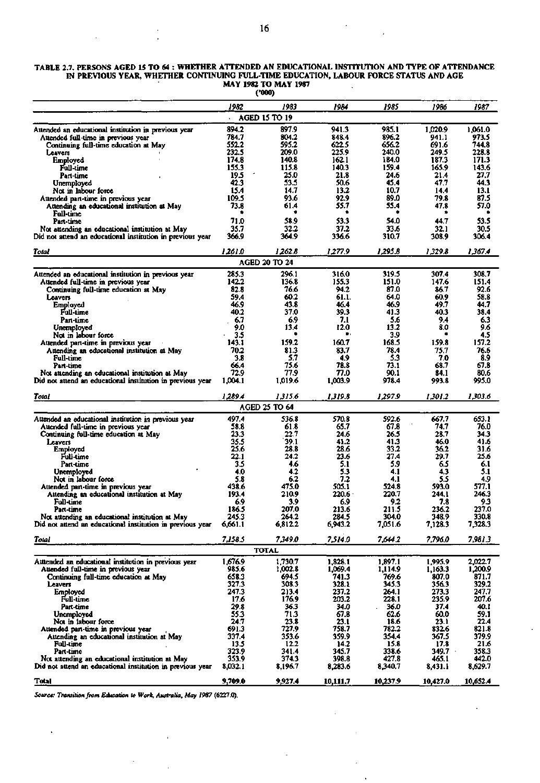l,

 $\ddot{\phantom{a}}$ 

 $\overline{ }$ 

#### **TABLE 2.7. PERSONS AGED IS TO 64 : WHETHER ATTENDED AN EDUCATIONAL INSTITUTION AND TYPE OF ATTENDANCE IN PREVIOUS YEAR, WHETHER CONTINUING FULLTIME EDUCATION, LABOUR FORCE STATUS AND AGE MAY 1982 TO MAY 1987**   $\bar{\mathcal{A}}$

|                                                                                             |                | ('000)               |                |                |                  |                  |
|---------------------------------------------------------------------------------------------|----------------|----------------------|----------------|----------------|------------------|------------------|
|                                                                                             | 1982           | 1983                 | 1984           | 1985           | 1986             | 1987             |
|                                                                                             |                | <b>AGED 15 TO 19</b> |                |                |                  |                  |
|                                                                                             |                |                      |                |                |                  |                  |
| Attended an educational institution in previous year<br>Attended full-time in previous year | 894.2<br>784.7 | 897.9<br>804.2       | 941.3<br>848.4 | 985.1<br>896.2 | 1,020.9<br>941.1 | 1,061.0<br>973.5 |
| Continuing full-time education at May                                                       | 552.2          | 595.2                | 622.5          | 656.2          | 691.6            | 744.8            |
| Leavers                                                                                     | 232.5          | 209.0                | 225.9          | 240.0          | 249.5            | 228.8            |
| Employed                                                                                    | 174.8          | 140.8                | 162.1          | 184.0          | 187.3            | 171.3            |
| Full-time                                                                                   | 155.3          | 115.8                | 140.3          | 159.4          | 165.9            | 143.6            |
| Part-time                                                                                   | 19.5           | 25.0                 | 21.8           | 24.6           | 21.4             | 27.7             |
| Unemployed                                                                                  | 42.3<br>15.4   | 53.5<br>14.7         | 50.6<br>13.2   | 45.4<br>10.7   | 47.7             | 44.3<br>13.1     |
| Not in labour force<br>Attended part-time in previous year                                  | 109.5          | 93.6                 | 92.9           | 89.0           | 14.4<br>79.8     | 87.5             |
| Attending an educational institution at May                                                 | 73.8           | 61.4                 | 55.7           | 55.4           | 47.8             | 57.0             |
| Full-time                                                                                   |                |                      | ۰              |                |                  |                  |
| Part-time                                                                                   | 71.0           | 58.9                 | 53.3           | 54.0           | 44.7             | 53.S             |
| Not attending an educational institution at May                                             | 35.7           | 32.2                 | 37.2           | 33.6           | 32.1             | 30.5             |
| Did not attend an educational institution in previous year                                  | 366.9          | 364.9                | 336.6          | 310.7          | 308.9            | 306.4            |
| Total                                                                                       | 1,261.0        | 1,262.8              | 1,277.9        | 1,295.8        | 1,329.8          | 1,367.4          |
|                                                                                             |                |                      |                |                |                  |                  |
|                                                                                             |                | <b>AGED 20 TO 24</b> |                |                |                  |                  |
| Attended an educational institution in previous year                                        | 285.3          | 296.1                | 316.0          | 319.5          | 307.4            | 308.7            |
| Attended full-time in previous year                                                         | 142.2          | 136.8                | 155.3          | 151.0          | 147.6            | 151.4            |
| Continuing full-time education at May                                                       | 82.8<br>59.4   | 76.6<br>60.2         | 94.2<br>61.1.  | 87.0<br>64.0   | 86.7<br>60.9     | 92.6<br>58.8     |
| <b>Leavers</b><br>Employed                                                                  | 46.9           | 43.8                 | 46.4           | 46.9           | 49.7             | 44.7             |
| Full-time                                                                                   | 40.2           | 37.0                 | 39.3           | 41.3           | 40.3             | 38.4             |
| Part-time                                                                                   | 6.7            | 6.9                  | 7.1            | 5.6            | 9.4              | 6.3              |
| Unemployed                                                                                  | 9.0            | 13.4                 | 12.0           | 13.2           | 8.0              | 9.6              |
| Not in labour force                                                                         | 3.5            |                      | ٠              | 3.9            |                  | 4.5              |
| Attended part-time in previous year                                                         | 143.1          | 159.2                | 160.7          | 168.5          | 159.8            | 157.2            |
| Attending an educational institution at May<br>Full-time                                    | 70.2<br>3.8    | 81.3<br>5.7          | 83.7<br>4.9    | 78.4<br>5.3    | 75.7<br>7.0      | 76.6<br>8.9      |
| Part-time                                                                                   | 66.4           | 75.6                 | 78.8           | 73.1           | 68.7             | 67.8             |
| Not attending an educational institution at May                                             | 72.9           | 77.9                 | 77.0           | 90.1           | 84.1             | 80.6             |
| Did not attend an educational institution in previous year                                  | 1,004.1        | 1,019.6              | 1,003.9        | 978.4          | 993.8            | 995.0            |
|                                                                                             |                |                      |                |                |                  |                  |
| Total                                                                                       | 1,289.4        | 1,315.6              | 1,319.8        | 1,297.9        | 1,301.2          | 1303.6           |
|                                                                                             |                | AGED 25 TO 64        |                |                |                  |                  |
| Attended an educational institution in previous year                                        | 497.4          | 536.8                | 570.8          | 592.6          | 667.7            | 653.1            |
| Auended full-time in previous year                                                          | 58.8           | 61.8                 | 65.7           | 67.8           | 74.7             | 76.0             |
| Continuing full-time education at May                                                       | 23.3           | 22.7                 | 24.6           | 26.5           | 28.7             | 34.3             |
| Leavers                                                                                     | 35.5           | 39.1                 | 41.2           | 41.3           | 46.0             | 41.6             |
| Employed                                                                                    | 25.6           | 28.8                 | 28.6           | 33.2           | 36.2             | 31.6             |
| Full-time                                                                                   | 22.1           | 24.2                 | 23.6           | 27.4           | 29.7             | 25.6             |
| Part-time                                                                                   | 3.5            | 4.6                  | 5.1            | 5.9<br>4.1     | 6.5              | 6.1              |
| <b>Unemployed</b><br>Not in labour force                                                    | 4.0<br>5.8     | 4.2<br>6.2           | 53<br>72       | 4.1            | 4.3<br>5.5       | 5.1<br>4.9       |
| Attended part-time in previous year                                                         | 438.6          | 475.0                | 505.1          | 524.8          | 593.0            | 577.1            |
| Attending an educational institution at May                                                 | 193.4          | 210.9                | 220.6          | 220.7          | 244.1            | 246.3            |
| Full-time                                                                                   | 6.9            | 3.9                  | 6.9            | 9.2            | 7.8              | 93               |
| ran-time                                                                                    | 186.5          | 207.0                | 213.6          | 211.2          | 236.2            | 237.0            |
| Not attending an educational institution at May                                             | 245.3          | 264.2                | 284.5          | 304.0          | 348.9            | 330.8            |
| Did not attend an educational institution in previous year                                  | 6,661.1        | 6,812.2              | 6,943.2        | 7,051.6        | 7,128.3          | 7,328.3          |
| Total                                                                                       | <u>7,158.5</u> | 7,349.0              | 7,514.0        | 7,644.2        | 7,796.0          | 7,981.3          |
|                                                                                             |                |                      |                |                |                  |                  |
|                                                                                             |                | TOTAL                |                |                |                  |                  |
| Attiended an educational institution in previous year                                       | 1,676.9        | 1,730.7              | 1,828.1        | 1,897.1        | 1,995.9          | 2,022.7          |
| Attended full-time in previous year                                                         | 985.6          | 1,002.8              | 1,069.4        | 1,114.9        | 1,163.3          | 1,200.9          |
| Continuing full-time education at May<br>Leavers                                            | 658.3<br>327.3 | 694.5<br>308.3       | 741.3<br>328.1 | 769.6<br>345.3 | 807.0<br>356.3   | 871.7<br>329.2   |
| Employed                                                                                    | 247.3          | 213.4                | 237.2          | 264.1          | 273.3            | 247.7            |
| Full-time                                                                                   | 17.6           | 176.9                | 203.2          | 228.1          | 235.9            | 207.6            |
| Part-time                                                                                   | 29.8           | 36.3                 | 34.0           | 36.0           | 37.4             | 40. I            |
| Unemployed                                                                                  | 55.3           | 71.3                 | 67.8           | 62.6           | 60.0             | 59.1             |
| Not in labour force                                                                         | 24.7           | 23.8                 | 23.1           | 18.6           | 23.1             | 22.4             |
| Attended part-time in previous year                                                         | 691.3          | 727.9                | 758.7          | 782.2          | 832.6            | 821.8            |
| Attending an educational institution at May<br>Full-time                                    | 337.4<br>13.5  | 353.6<br>12.2        | 359.9<br>14.2  | 354.4<br>15.8  | 367.5<br>17.8    | 379.9<br>21.6    |
| Part-time                                                                                   | 323.9          | 341.4                | 345.7          | 338.6          | 349.7            | 358.3            |
| Not attending an educational institution at May                                             | 353.9          | 374.3                | 398.8          | 427.8          | 465.1            | 442.0            |
| Did not attend an educational institution in previous year                                  | 8,032.1        | 8,196.7              | 8,283.6        | 8,340,7        | 8,431.1          | 8,629.7          |
|                                                                                             |                |                      |                |                |                  |                  |
| Total                                                                                       | 9,709.0        | 9,927.4              | 10,111.7       | 10,237.9       | 10,427.0         | 10,652.4         |

*Source: Transition from Education to Work, Australia, May 1987* **(6227.0).** 

 $\overline{\phantom{a}}$ 

 $\ddot{\phantom{a}}$ 

l,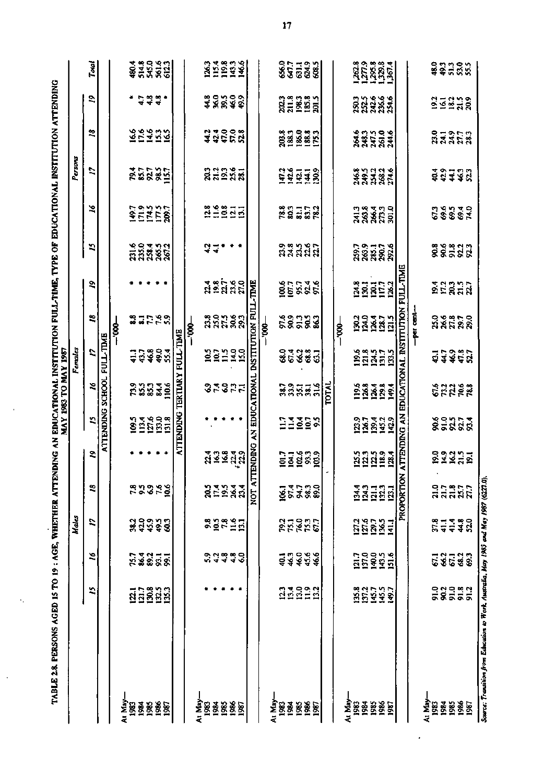| 430832<br>87882<br><b>233224</b><br><b>35538</b><br>35588<br><b>រីភ្នំ និង</b><br>ក្តី និង ក្តី<br>S,<br><b>4884\$</b><br>444<br><b>22322</b><br>22322<br>ភ្ន្រី<br>និងនិងនឹង<br>25218<br>32323<br>$\approx$<br>144558<br>83882<br>83882<br>ទុក្ខកុម្ម<br>និន្តិក្តុម្ភី<br>azana<br>Ë,<br>22235<br>ន្តដូនន័ឌ<br><b>EEEE</b><br>នុងជួន។<br>មិនិងនិដ្ឋ<br><b>SSES3</b><br>ă<br><b>92252825</b><br>89835<br>282122<br>58887<br>ាន។<br>នឹងដឹងនឹ<br>asaata<br>searna<br>តួកូត្ត័ន្ត<br>ຊ<br>ភិន្ត្ <sub>ឆ</sub> ្នួ<br>ភិន្ត្តី ភិន្ត្តី<br><b>28232</b><br>31<br>ATTENDING AN EDUCATIONAL INSTITUTION FULL-TIME<br><b>มี</b> ≌ี่<br>มี ≌ี่ ผี<br>S)<br>23.6<br>TENDING AN EDUCATIONAL INSTITUTION FULL-TIME<br>85235<br>333123<br>22222<br>-per cent-<br>Z,<br>នីនីដន៍និ<br>32528<br>38588<br><b>23332</b><br>asana<br>Bahaa<br>—‱-<br>—000-<br> <br>-- 80<br>--<br>لع<br>-100<br>ATTENDING TERTIARY FULL-TIME<br>ATTENDING SCHOOL FULL-TIME<br>ŗ,<br><b>22132</b><br><b>35335</b><br>1288X<br><b>SSS55</b><br>2022<br><b>ataca</b><br>135<br>Š,<br>TOTAL<br><b>RESER</b><br>32825<br><b>EARES</b><br>2888<br>149.4<br>22222<br>Ľ,<br><b>21255</b><br>2022<br>1254<br>1874<br>145.2<br>142.9<br>82277<br>23288<br>Š,<br><u> វ័ក្ខក្នុមី</u><br><b>22235</b><br><b>EEE</b> se<br><b>ESSE</b><br>NOT AT<br>PROPORTIO<br>Source: Transition from Education to Work, Australia, May 1985 and May 1987 (6227.0)<br>$\tilde{\mathbf{z}}$<br><b>859850</b><br><b>SESSE</b><br><b>SZZ88</b><br><b>35355</b><br><b>33385</b><br><b>ESERE</b><br>Z<br>42.0<br>483<br>នី 3<br>342<br>127.6<br><b>2341</b><br>38.2<br>79.2<br>5852<br>212<br>37.8<br>41.4<br>$\frac{4.8}{520}$<br>₹<br><b>23449</b><br>23449<br>46.0<br>46.0<br>45.6<br>46.6<br>137.0<br>143.5<br>151.6<br>$327 - 28$<br>217<br><b>683</b><br>75.7<br>$\overline{a}$<br>66.1<br>$\overline{5}$<br>8232<br>33333<br>135.8<br>5999<br>$\frac{6}{5}$<br>Ą<br>3888<br>$\overline{a}$<br>At May<br>At May-<br>1983<br>At May-<br>1983<br>At May<br>At May<br><b>1985</b><br>1987<br>1985<br>1987<br>esse<br>1986<br><b>288282</b><br>2882<br><b>1985</b><br><b>1987</b><br>$\overline{93}$<br>881 |  | Males |  |  | Females |  |  | Persons |  |                       |
|-----------------------------------------------------------------------------------------------------------------------------------------------------------------------------------------------------------------------------------------------------------------------------------------------------------------------------------------------------------------------------------------------------------------------------------------------------------------------------------------------------------------------------------------------------------------------------------------------------------------------------------------------------------------------------------------------------------------------------------------------------------------------------------------------------------------------------------------------------------------------------------------------------------------------------------------------------------------------------------------------------------------------------------------------------------------------------------------------------------------------------------------------------------------------------------------------------------------------------------------------------------------------------------------------------------------------------------------------------------------------------------------------------------------------------------------------------------------------------------------------------------------------------------------------------------------------------------------------------------------------------------------------------------------------------------------------------------------------------------------------------------------------------------------------------------------------------------------------------------------------------------------------------------------------------------------------------------------------------------------------------------------------------------------------------------------------------------------------------------------------------------------------|--|-------|--|--|---------|--|--|---------|--|-----------------------|
|                                                                                                                                                                                                                                                                                                                                                                                                                                                                                                                                                                                                                                                                                                                                                                                                                                                                                                                                                                                                                                                                                                                                                                                                                                                                                                                                                                                                                                                                                                                                                                                                                                                                                                                                                                                                                                                                                                                                                                                                                                                                                                                                               |  |       |  |  |         |  |  |         |  | Total                 |
|                                                                                                                                                                                                                                                                                                                                                                                                                                                                                                                                                                                                                                                                                                                                                                                                                                                                                                                                                                                                                                                                                                                                                                                                                                                                                                                                                                                                                                                                                                                                                                                                                                                                                                                                                                                                                                                                                                                                                                                                                                                                                                                                               |  |       |  |  |         |  |  |         |  |                       |
|                                                                                                                                                                                                                                                                                                                                                                                                                                                                                                                                                                                                                                                                                                                                                                                                                                                                                                                                                                                                                                                                                                                                                                                                                                                                                                                                                                                                                                                                                                                                                                                                                                                                                                                                                                                                                                                                                                                                                                                                                                                                                                                                               |  |       |  |  |         |  |  |         |  |                       |
|                                                                                                                                                                                                                                                                                                                                                                                                                                                                                                                                                                                                                                                                                                                                                                                                                                                                                                                                                                                                                                                                                                                                                                                                                                                                                                                                                                                                                                                                                                                                                                                                                                                                                                                                                                                                                                                                                                                                                                                                                                                                                                                                               |  |       |  |  |         |  |  |         |  |                       |
|                                                                                                                                                                                                                                                                                                                                                                                                                                                                                                                                                                                                                                                                                                                                                                                                                                                                                                                                                                                                                                                                                                                                                                                                                                                                                                                                                                                                                                                                                                                                                                                                                                                                                                                                                                                                                                                                                                                                                                                                                                                                                                                                               |  |       |  |  |         |  |  |         |  |                       |
|                                                                                                                                                                                                                                                                                                                                                                                                                                                                                                                                                                                                                                                                                                                                                                                                                                                                                                                                                                                                                                                                                                                                                                                                                                                                                                                                                                                                                                                                                                                                                                                                                                                                                                                                                                                                                                                                                                                                                                                                                                                                                                                                               |  |       |  |  |         |  |  |         |  |                       |
|                                                                                                                                                                                                                                                                                                                                                                                                                                                                                                                                                                                                                                                                                                                                                                                                                                                                                                                                                                                                                                                                                                                                                                                                                                                                                                                                                                                                                                                                                                                                                                                                                                                                                                                                                                                                                                                                                                                                                                                                                                                                                                                                               |  |       |  |  |         |  |  |         |  |                       |
|                                                                                                                                                                                                                                                                                                                                                                                                                                                                                                                                                                                                                                                                                                                                                                                                                                                                                                                                                                                                                                                                                                                                                                                                                                                                                                                                                                                                                                                                                                                                                                                                                                                                                                                                                                                                                                                                                                                                                                                                                                                                                                                                               |  |       |  |  |         |  |  |         |  |                       |
|                                                                                                                                                                                                                                                                                                                                                                                                                                                                                                                                                                                                                                                                                                                                                                                                                                                                                                                                                                                                                                                                                                                                                                                                                                                                                                                                                                                                                                                                                                                                                                                                                                                                                                                                                                                                                                                                                                                                                                                                                                                                                                                                               |  |       |  |  |         |  |  |         |  |                       |
|                                                                                                                                                                                                                                                                                                                                                                                                                                                                                                                                                                                                                                                                                                                                                                                                                                                                                                                                                                                                                                                                                                                                                                                                                                                                                                                                                                                                                                                                                                                                                                                                                                                                                                                                                                                                                                                                                                                                                                                                                                                                                                                                               |  |       |  |  |         |  |  |         |  |                       |
|                                                                                                                                                                                                                                                                                                                                                                                                                                                                                                                                                                                                                                                                                                                                                                                                                                                                                                                                                                                                                                                                                                                                                                                                                                                                                                                                                                                                                                                                                                                                                                                                                                                                                                                                                                                                                                                                                                                                                                                                                                                                                                                                               |  |       |  |  |         |  |  |         |  |                       |
|                                                                                                                                                                                                                                                                                                                                                                                                                                                                                                                                                                                                                                                                                                                                                                                                                                                                                                                                                                                                                                                                                                                                                                                                                                                                                                                                                                                                                                                                                                                                                                                                                                                                                                                                                                                                                                                                                                                                                                                                                                                                                                                                               |  |       |  |  |         |  |  |         |  |                       |
|                                                                                                                                                                                                                                                                                                                                                                                                                                                                                                                                                                                                                                                                                                                                                                                                                                                                                                                                                                                                                                                                                                                                                                                                                                                                                                                                                                                                                                                                                                                                                                                                                                                                                                                                                                                                                                                                                                                                                                                                                                                                                                                                               |  |       |  |  |         |  |  |         |  |                       |
|                                                                                                                                                                                                                                                                                                                                                                                                                                                                                                                                                                                                                                                                                                                                                                                                                                                                                                                                                                                                                                                                                                                                                                                                                                                                                                                                                                                                                                                                                                                                                                                                                                                                                                                                                                                                                                                                                                                                                                                                                                                                                                                                               |  |       |  |  |         |  |  |         |  |                       |
|                                                                                                                                                                                                                                                                                                                                                                                                                                                                                                                                                                                                                                                                                                                                                                                                                                                                                                                                                                                                                                                                                                                                                                                                                                                                                                                                                                                                                                                                                                                                                                                                                                                                                                                                                                                                                                                                                                                                                                                                                                                                                                                                               |  |       |  |  |         |  |  |         |  |                       |
|                                                                                                                                                                                                                                                                                                                                                                                                                                                                                                                                                                                                                                                                                                                                                                                                                                                                                                                                                                                                                                                                                                                                                                                                                                                                                                                                                                                                                                                                                                                                                                                                                                                                                                                                                                                                                                                                                                                                                                                                                                                                                                                                               |  |       |  |  |         |  |  |         |  |                       |
|                                                                                                                                                                                                                                                                                                                                                                                                                                                                                                                                                                                                                                                                                                                                                                                                                                                                                                                                                                                                                                                                                                                                                                                                                                                                                                                                                                                                                                                                                                                                                                                                                                                                                                                                                                                                                                                                                                                                                                                                                                                                                                                                               |  |       |  |  |         |  |  |         |  |                       |
|                                                                                                                                                                                                                                                                                                                                                                                                                                                                                                                                                                                                                                                                                                                                                                                                                                                                                                                                                                                                                                                                                                                                                                                                                                                                                                                                                                                                                                                                                                                                                                                                                                                                                                                                                                                                                                                                                                                                                                                                                                                                                                                                               |  |       |  |  |         |  |  |         |  |                       |
|                                                                                                                                                                                                                                                                                                                                                                                                                                                                                                                                                                                                                                                                                                                                                                                                                                                                                                                                                                                                                                                                                                                                                                                                                                                                                                                                                                                                                                                                                                                                                                                                                                                                                                                                                                                                                                                                                                                                                                                                                                                                                                                                               |  |       |  |  |         |  |  |         |  |                       |
|                                                                                                                                                                                                                                                                                                                                                                                                                                                                                                                                                                                                                                                                                                                                                                                                                                                                                                                                                                                                                                                                                                                                                                                                                                                                                                                                                                                                                                                                                                                                                                                                                                                                                                                                                                                                                                                                                                                                                                                                                                                                                                                                               |  |       |  |  |         |  |  |         |  |                       |
|                                                                                                                                                                                                                                                                                                                                                                                                                                                                                                                                                                                                                                                                                                                                                                                                                                                                                                                                                                                                                                                                                                                                                                                                                                                                                                                                                                                                                                                                                                                                                                                                                                                                                                                                                                                                                                                                                                                                                                                                                                                                                                                                               |  |       |  |  |         |  |  |         |  |                       |
|                                                                                                                                                                                                                                                                                                                                                                                                                                                                                                                                                                                                                                                                                                                                                                                                                                                                                                                                                                                                                                                                                                                                                                                                                                                                                                                                                                                                                                                                                                                                                                                                                                                                                                                                                                                                                                                                                                                                                                                                                                                                                                                                               |  |       |  |  |         |  |  |         |  |                       |
|                                                                                                                                                                                                                                                                                                                                                                                                                                                                                                                                                                                                                                                                                                                                                                                                                                                                                                                                                                                                                                                                                                                                                                                                                                                                                                                                                                                                                                                                                                                                                                                                                                                                                                                                                                                                                                                                                                                                                                                                                                                                                                                                               |  |       |  |  |         |  |  |         |  |                       |
|                                                                                                                                                                                                                                                                                                                                                                                                                                                                                                                                                                                                                                                                                                                                                                                                                                                                                                                                                                                                                                                                                                                                                                                                                                                                                                                                                                                                                                                                                                                                                                                                                                                                                                                                                                                                                                                                                                                                                                                                                                                                                                                                               |  |       |  |  |         |  |  |         |  |                       |
|                                                                                                                                                                                                                                                                                                                                                                                                                                                                                                                                                                                                                                                                                                                                                                                                                                                                                                                                                                                                                                                                                                                                                                                                                                                                                                                                                                                                                                                                                                                                                                                                                                                                                                                                                                                                                                                                                                                                                                                                                                                                                                                                               |  |       |  |  |         |  |  |         |  |                       |
|                                                                                                                                                                                                                                                                                                                                                                                                                                                                                                                                                                                                                                                                                                                                                                                                                                                                                                                                                                                                                                                                                                                                                                                                                                                                                                                                                                                                                                                                                                                                                                                                                                                                                                                                                                                                                                                                                                                                                                                                                                                                                                                                               |  |       |  |  |         |  |  |         |  |                       |
|                                                                                                                                                                                                                                                                                                                                                                                                                                                                                                                                                                                                                                                                                                                                                                                                                                                                                                                                                                                                                                                                                                                                                                                                                                                                                                                                                                                                                                                                                                                                                                                                                                                                                                                                                                                                                                                                                                                                                                                                                                                                                                                                               |  |       |  |  |         |  |  |         |  |                       |
|                                                                                                                                                                                                                                                                                                                                                                                                                                                                                                                                                                                                                                                                                                                                                                                                                                                                                                                                                                                                                                                                                                                                                                                                                                                                                                                                                                                                                                                                                                                                                                                                                                                                                                                                                                                                                                                                                                                                                                                                                                                                                                                                               |  |       |  |  |         |  |  |         |  |                       |
|                                                                                                                                                                                                                                                                                                                                                                                                                                                                                                                                                                                                                                                                                                                                                                                                                                                                                                                                                                                                                                                                                                                                                                                                                                                                                                                                                                                                                                                                                                                                                                                                                                                                                                                                                                                                                                                                                                                                                                                                                                                                                                                                               |  |       |  |  |         |  |  |         |  |                       |
|                                                                                                                                                                                                                                                                                                                                                                                                                                                                                                                                                                                                                                                                                                                                                                                                                                                                                                                                                                                                                                                                                                                                                                                                                                                                                                                                                                                                                                                                                                                                                                                                                                                                                                                                                                                                                                                                                                                                                                                                                                                                                                                                               |  |       |  |  |         |  |  |         |  |                       |
|                                                                                                                                                                                                                                                                                                                                                                                                                                                                                                                                                                                                                                                                                                                                                                                                                                                                                                                                                                                                                                                                                                                                                                                                                                                                                                                                                                                                                                                                                                                                                                                                                                                                                                                                                                                                                                                                                                                                                                                                                                                                                                                                               |  |       |  |  |         |  |  |         |  |                       |
|                                                                                                                                                                                                                                                                                                                                                                                                                                                                                                                                                                                                                                                                                                                                                                                                                                                                                                                                                                                                                                                                                                                                                                                                                                                                                                                                                                                                                                                                                                                                                                                                                                                                                                                                                                                                                                                                                                                                                                                                                                                                                                                                               |  |       |  |  |         |  |  |         |  |                       |
|                                                                                                                                                                                                                                                                                                                                                                                                                                                                                                                                                                                                                                                                                                                                                                                                                                                                                                                                                                                                                                                                                                                                                                                                                                                                                                                                                                                                                                                                                                                                                                                                                                                                                                                                                                                                                                                                                                                                                                                                                                                                                                                                               |  |       |  |  |         |  |  |         |  |                       |
|                                                                                                                                                                                                                                                                                                                                                                                                                                                                                                                                                                                                                                                                                                                                                                                                                                                                                                                                                                                                                                                                                                                                                                                                                                                                                                                                                                                                                                                                                                                                                                                                                                                                                                                                                                                                                                                                                                                                                                                                                                                                                                                                               |  |       |  |  |         |  |  |         |  |                       |
|                                                                                                                                                                                                                                                                                                                                                                                                                                                                                                                                                                                                                                                                                                                                                                                                                                                                                                                                                                                                                                                                                                                                                                                                                                                                                                                                                                                                                                                                                                                                                                                                                                                                                                                                                                                                                                                                                                                                                                                                                                                                                                                                               |  |       |  |  |         |  |  |         |  |                       |
|                                                                                                                                                                                                                                                                                                                                                                                                                                                                                                                                                                                                                                                                                                                                                                                                                                                                                                                                                                                                                                                                                                                                                                                                                                                                                                                                                                                                                                                                                                                                                                                                                                                                                                                                                                                                                                                                                                                                                                                                                                                                                                                                               |  |       |  |  |         |  |  |         |  |                       |
|                                                                                                                                                                                                                                                                                                                                                                                                                                                                                                                                                                                                                                                                                                                                                                                                                                                                                                                                                                                                                                                                                                                                                                                                                                                                                                                                                                                                                                                                                                                                                                                                                                                                                                                                                                                                                                                                                                                                                                                                                                                                                                                                               |  |       |  |  |         |  |  |         |  | <b>83383</b><br>##588 |
|                                                                                                                                                                                                                                                                                                                                                                                                                                                                                                                                                                                                                                                                                                                                                                                                                                                                                                                                                                                                                                                                                                                                                                                                                                                                                                                                                                                                                                                                                                                                                                                                                                                                                                                                                                                                                                                                                                                                                                                                                                                                                                                                               |  |       |  |  |         |  |  |         |  |                       |

 $\ddot{\phantom{0}}$ 

**17** 

 $\ddot{\phantom{0}}$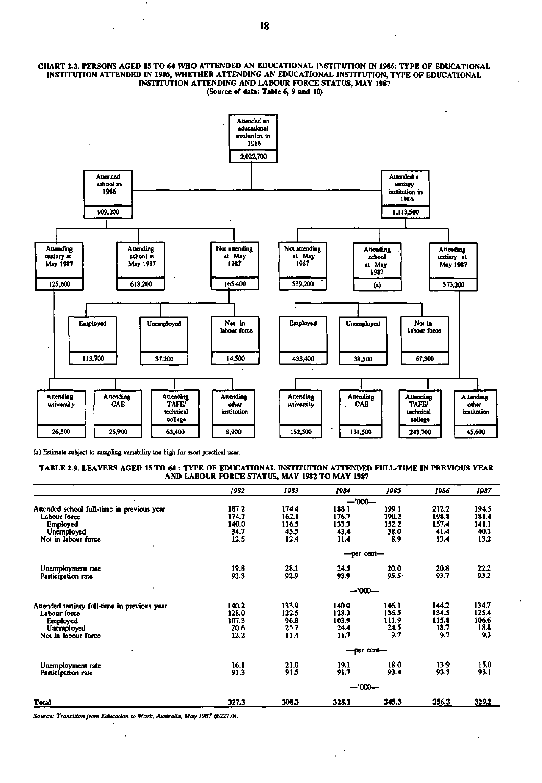#### **CHART 2.3. PERSONS AGED 15 TO 64 WHO ATTENDED AN EDUCATIONAL INSTITUTION IN 1986: TYPE OF EDUCATIONAL INSTITUTION ATTENDED IN 1986, WHETHER ATTENDING AN EDUCATIONAL INSTITUTION, TYPE OF EDUCATIONAL INSTITUTION ATTENDING AND LABOUR FORCE STATUS, MAY 1987 (Source of data: Table 6, 9 and 10)**



**(a) Estimate subject to sampling variability too high for most practical uses.** 

### **TABLE 2.9. LEAVERS AGED 15 TO 64 : TYPE OF EDUCATIONAL INSTITUTION ATTENDED FULL-TIME IN PREVIOUS YEAR AND LABOUR FORCE STATUS, MAY 1982 TO MAY 1987**

| 1982  | 1983                 | 1984                           | 1985                  | 1986                                                                                       | 1987                          |
|-------|----------------------|--------------------------------|-----------------------|--------------------------------------------------------------------------------------------|-------------------------------|
|       |                      |                                |                       |                                                                                            |                               |
| 187.2 | 174.4                | 188.1                          |                       | 212.2                                                                                      | 194.5                         |
| 174.7 | 162.1                | 176.7                          | 190.2                 | 198.8                                                                                      | 181.4                         |
| 140.0 | 116.5                | 133.3                          | 152.2.                |                                                                                            | 141.1                         |
|       | 45.5                 | 43.4                           |                       | 41.4                                                                                       | 40.3                          |
| 12.5  | 12.4                 | 11.4                           | 8.9                   | 13.4                                                                                       | 13.2                          |
|       |                      |                                |                       |                                                                                            |                               |
| 19.8  | 28.1                 | 24.5                           | 20.0                  | 20.8                                                                                       | 22.2                          |
| 93.3  | 92.9                 | 93.9                           | $95.5 -$              | 93.7                                                                                       | 93.2                          |
|       |                      |                                |                       |                                                                                            |                               |
| 140.2 |                      |                                | 146.1                 | 144.2                                                                                      | 134.7                         |
| 128.0 |                      | 128.3                          | 136.5                 | 134.5                                                                                      | 125.4                         |
| 107.3 | 96.8                 | 103.9                          | 111.9                 |                                                                                            | 106.6                         |
| 20.6  | 25.7                 | 24.4                           | 24.5                  | 18.7                                                                                       | 18.8                          |
|       |                      |                                |                       |                                                                                            | 9.3                           |
|       |                      |                                |                       |                                                                                            |                               |
| 16.1  | 21.0                 | 19.1                           | 18.0                  | 13.9                                                                                       | 15.0                          |
|       |                      |                                |                       |                                                                                            | 93.1                          |
|       |                      |                                |                       |                                                                                            |                               |
| 327.3 | 308.3                | 328.1                          | 345.3                 | 356.3                                                                                      | 329.2                         |
|       | 34.7<br>12.2<br>91.3 | 133.9<br>122.5<br>11.4<br>91.5 | 140.0<br>11.7<br>91.7 | $-7000-$<br>199.1<br>38.0<br>-per cent-<br>$-000-$<br>9.7<br>-per cent-<br>93.4<br>$-000-$ | 157.4<br>115.8<br>9.7<br>93.3 |

*Source: Transition from Education to Work, Australia, May 1987* **(6227.0).**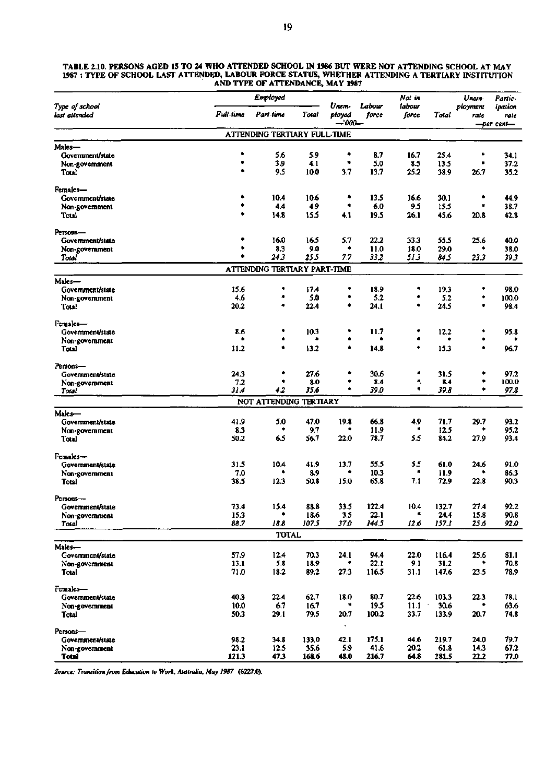|                                 |           | <b>Employed</b>              |       |                            |                 | Not in          |       | Unem-            | Partic-                             |
|---------------------------------|-----------|------------------------------|-------|----------------------------|-----------------|-----------------|-------|------------------|-------------------------------------|
| Type of school<br>iast attended | Full-time | Part-time                    | Total | Unem-<br>ployed<br>$-000-$ | Labour<br>force | labour<br>force | Total | ployment<br>rate | ipation<br>rate<br>$-$ per cent $-$ |
|                                 |           | ATTENDING TERTIARY FULL-TIME |       |                            |                 |                 |       |                  |                                     |
| Males-                          |           |                              |       |                            |                 |                 |       |                  |                                     |
| Government/state                | ٠         | 5.6                          | 5.9   | ٠                          | 8.7             | 16.7            | 25.4  | ٠                | 34.1                                |
| Non-government                  | ٠         | 3.9                          | 4.1   | ۰                          | 5.0             | 8.5             | 13.5  | ۰                | 37.2                                |
| Total                           |           | 9.5                          | 10.0  | 3.7                        | 13.7            | 25.2            | 38.9  | 26.7             | 35.2                                |
| Females-                        |           |                              |       |                            |                 |                 |       |                  |                                     |
| Government/state                | ٠         | 10.4                         | 10.6  | ٠                          | 13.5            | 16.6            | 30.1  | ٠                | 44.9                                |
| Non-government                  | ۰         | 4.4                          | 4.9   | ۰                          | 6.0             | 9.5             | 15.5  | ۰                | 38.7                                |
| Total                           |           | 14.8                         | 15.5  | 4.1                        | 19.5            | 26.1            | 45.6  | 20.8             | 42.8                                |
| Persons-                        |           |                              |       |                            |                 |                 |       |                  |                                     |
| Government/state                | ۰         | 16.0                         | 16.5  | 5.7                        | 22.2            | 33.3            | 55.5  | 25.6             | 40.0                                |
| Non-government                  | ۰         | 8.3                          | 9.0   | ۰                          | 11.0            | 18.0            | 29.0  | ۰                | 38.0                                |
| Total                           | ۰         | 24 3                         | 25.5  | 7.7                        | 33.2            | 513             | 84 S  | 23.3             | 39.3                                |
|                                 |           | ATTENDING TERTIARY PART-TIME |       |                            |                 |                 |       |                  |                                     |
| Males--<br>Government/state     | 15.6      | ۰                            | 17.4  | ۰                          | 18.9            | ۰               | 19.3  | ۰                | 98.0                                |
| Non-government                  | 4.6       | ۰                            | 5.0   | ۰                          | 5.2             | ۰               | 5.2   | ۰                | 100.0                               |
| Total                           | 20.2      | ۰                            | 22.4  | ۰                          | 24.1            | ٠               | 24.5  | ٠                | 98.4                                |
| Females—                        |           |                              |       |                            |                 |                 |       |                  |                                     |
| Government/state                | 8.6       | ۰                            | 10.3  |                            | 11.7            | ٠               | 12.2  | ۰                | 95.8                                |
| Non-government                  |           |                              |       | ٠                          |                 | ۰               |       | ٠                |                                     |
| Total                           | 11.2      | ۰                            | 13.2  | ۰                          | 14.8            | ٠               | 15.3  | ۰                | 96.7                                |
| Persons-                        |           |                              |       |                            |                 |                 |       |                  |                                     |
| Government/state                | 24.3      | ۰                            | 27.6  | ٠                          | 30.6            | ٠               | 31.5  | ۰                | 97.2                                |
| Non-government                  | 7.2       | ۰                            | 8.0   |                            | 8.4             | ٠               | 8.4   | ۰                | 100.0                               |
| Total                           | 31.4      | 42                           | 35.6  | ٠                          | 39.0            | ٠               | 39.8  | ۰                | 97.8                                |
| Males-                          |           | NOT ATTENDING TERTIARY       |       |                            |                 |                 |       |                  |                                     |
| Government/state                | 41.9      | 5.0                          | 47.0  | 19.8                       | 66.8            | 4.9             | 71.7  | 29.7             | 93.2                                |
| Non-government                  | 8.3       | ۰                            | 9.7   | ۰                          | 11.9            | ٠               | 12.5  | ۰                | 95.2                                |
| Total                           | 50.2      | 6.5                          | 56.7  | 22.0                       | 78.7            | 5.5             | 84.2  | 27.9             | 93.4                                |
| Females-                        |           |                              |       |                            |                 |                 |       |                  |                                     |
| Government/state                | 31.5      | 10.4                         | 41.9  | 13.7                       | 55.5            | 5.5             | 61.0  | 24.6             | 91.0                                |
| Non-government                  | 7.0       | ٠                            | 8.9   | ۰                          | 10.3            | ۰               | 11.9  | ۰                | 86.3                                |
| Total                           | 38.5      | 12.3                         | 50.8  | 15.0                       | 65.8            | 7.1             | 72.9  | 22.8             | 90.3                                |
| Persons---                      |           |                              |       |                            |                 |                 |       |                  |                                     |
| Government/state                | 73.4      | 15.4                         | 88.8  | 33.5                       | 122.4           | 10.4            | 132.7 | 27.4             | 92.2                                |
| Non-government                  | 15.3      | ۰                            | 18.6  | 3.5                        | 22.1            | ٠               | 24.4  | 15.8             | 90.8                                |
| Total                           | 88.7      | 18.8                         | 107.5 | 37.O                       | 144.5           | 12.6            | 157.1 | 25.6             | 92.0                                |
|                                 |           | <b>TOTAL</b>                 |       |                            |                 |                 |       |                  |                                     |
| Males-<br>Government/state      | 57.9      | 12.4                         | 70.3  | 24.1                       | 94.4            | 22.0            | 116.4 | 25.6             | 81.1                                |
| Non-government                  | 13.1      | 5.8                          | 18.9  | ۰                          | 22.1            | 9.1             | 31.2  |                  | 70.8                                |
| Total                           | 71.0      | 18.2                         | 89.2  | 27.3                       | 116.5           | 31.1            | 147.6 | 23.5             | 78.9                                |
| Females-                        |           |                              |       |                            |                 |                 |       |                  |                                     |
| Government/state                | 40.3      | 22.4                         | 62.7  | 18.0                       | 80.7            | 22.6            | 103.3 | 22.3             | 78.1                                |
| Non-government                  | 10.0      | 6.7                          | 16.7  | ۰                          | 19.5            | $11.1 - 1$      | 30.6  |                  | 63.6                                |
| Total                           | 50.3      | 29.1                         | 79.5  | 20.7                       | 100.2           | 33.7            | 133.9 | 20.7             | 74.8                                |
| Persons-                        |           |                              |       | ٠                          |                 |                 |       |                  |                                     |
| Government/state                | 98.2      | 34.8                         | 133.0 | 42.1                       | 175.1           | 44.6            | 219.7 | 24.0             | 79.7                                |
| Non-government                  | 23.1      | 12.5                         | 35.6  | 5.9                        | 41.6            | 20.2            | 61.8  | 14.3             | 67.2                                |
| <b>Total</b>                    | 121.3     | 47.3                         | 168.6 | 48.0                       | 216.7           | 64.8            | 281.5 | 22.2             | 77.0                                |

#### **TABLE 2.10. PERSONS AGED 15 TO 24 WHO ATTENDED SCHOOL IN 1986 BUT WERE NOT ATTENDING SCHOOL** AT **MAY 1987 : TYPE OF SCHOOL LAST ATTENDED, LABOUR FORCE STATUS, WHETHER ATTENDING A TERTIARY INSTITUTION AND TYPE OF ATTENDANCE, MAY 1987**

*Source: Transition from Education to Work, Australia, May 1987* **(6227.0).**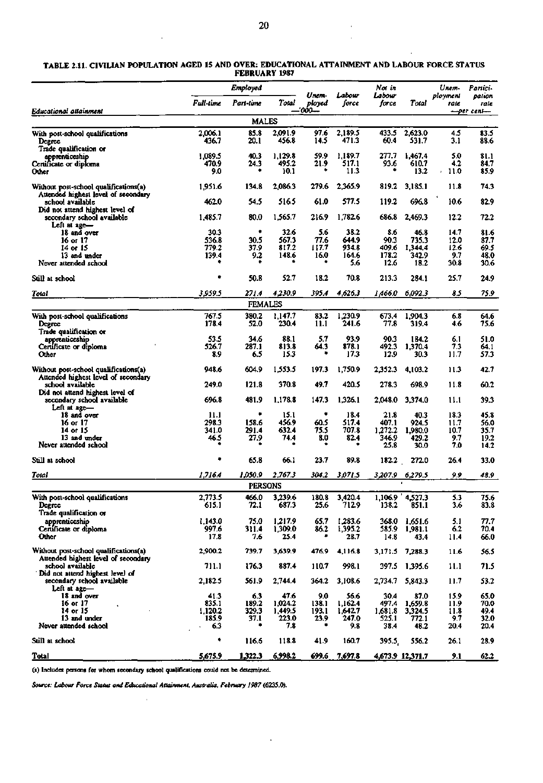$\bar{1}$ 

| TABLE 2.11. CIVILIAN POPULATION AGED 15 AND OVER: EDUCATIONAL ATTAINMENT AND LABOUR FORCE STATUS |  |                      |  |  |
|--------------------------------------------------------------------------------------------------|--|----------------------|--|--|
|                                                                                                  |  | <b>FEBRUARY 1987</b> |  |  |

 $\hat{\mathcal{A}}$ 

|                                                                              | Full-time        | Employed<br>Part-time | Total            | Unem-<br>ployed | Labour<br>force    | Not in<br>Labour<br>force | Total              | Unem-<br>ployment<br>rate | Partici-<br>pation<br>rale |
|------------------------------------------------------------------------------|------------------|-----------------------|------------------|-----------------|--------------------|---------------------------|--------------------|---------------------------|----------------------------|
| Educational attainment                                                       |                  | <b>MALES</b>          |                  | '000--          |                    |                           |                    |                           | —per cent—                 |
| With post-school qualifications                                              | 2.006.1          | 85.8                  | 2,091.9          | 97.6            | 2,189.5            | 433.5                     | 2,623.0            | 4.5                       | 83.5                       |
| Degree                                                                       | 436.7            | 20.1                  | 456.8            | 14.5            | 471.3              | 60.4                      | 531.7              | 3.1                       | 88.6                       |
| Trade qualification or                                                       |                  |                       |                  |                 |                    |                           |                    |                           |                            |
| apprenticeship<br>Certificate or diploma                                     | 1.089.5<br>470.9 | 40.3<br>24.3          | 1,129.8<br>495.2 | 59.9<br>21.9    | 1.189.7<br>517.1   | 277.7<br>93.6             | 1,467.4<br>610.7   | 5.0<br>4.2                | 81.1<br>84.7               |
| Other                                                                        | 9.0              | ۰                     | 10.1             | ٠               | 11.3               |                           | 13.2               | 11.0<br>,                 | 85.9                       |
| Without post-school qualifications(a)                                        | 1,951.6          | 134.8                 | 2,086.3          | 279.6           | 2,365.9            | 819.2                     | 3,185.1            | 11.8                      | 74.3                       |
| Attended highest level of secondary<br>school available                      | 462.0            | 54.5                  | 516.5            | 61.0            | 577.5              | 119.2                     | 696.8              | 10.6                      | 82.9                       |
| Did not attend highest level of                                              |                  |                       |                  |                 |                    |                           |                    |                           |                            |
| secondary school available                                                   | 1,485.7          | 80.0                  | 1,565.7          | 216.9           | 1,782.6            | 686.8                     | 2,469.3            | 12.2                      | 72.2                       |
| Left at $age$ —                                                              |                  | ۰                     |                  |                 |                    |                           |                    |                           |                            |
| 18 and over<br>16 or 17                                                      | 30.3<br>536.8    | 30.5                  | 32.6<br>567.3    | 5.6<br>77.6     | 38.2<br>644.9      | 8.6<br>90.3               | 46.8<br>735.3      | 14.7<br>12.0              | 81.6<br>87.7               |
| 14 or 15                                                                     | 779.2            | 37.9                  | 817.2            | 117.7           | 934.8              | 409.6                     | 1,344.4            | 12.6                      | 69.5                       |
| 13 and under                                                                 | 139.4            | 9.2                   | 148.6            | 16.0            | 164.6              | 178.2                     | 342.9              | 9.7                       | 48.0                       |
| Never attended school                                                        |                  |                       |                  |                 | 5.6                | 12.6                      | 18.2               | 30.8                      | 30.6                       |
| Still at school                                                              | ۰                | 50.8                  | 52.7             | 18.2            | 70.8               | 213.3                     | 284.1              | 25.7                      | 24.9                       |
| Total                                                                        | 3,959.5          | 271.4                 | 4,230.9          | 395.4           | 4,626.3            | 1,466.0                   | 6,092.3            | 85                        | 75.9                       |
|                                                                              |                  | <b>FEMALES</b>        |                  |                 |                    |                           |                    |                           |                            |
| With post-school qualifications<br>Degree                                    | 767.5<br>178.4   | 380.2<br>52.0         | 1,147.7<br>230.4 | 83.2<br>11.1    | 1,230.9<br>241.6   | 673.4<br>77.8             | 1.904.3<br>319.4   | 6.8<br>4.6                | 64.6<br>75.6               |
| Trade qualification or<br>apprenticeship                                     | 53.5             | 34.6                  | 88.1             | 5.7             | 93.9               | 90.3                      | 184.2              | 6.1                       | 51.0                       |
| Certificate or diploma                                                       | 526.7            | 287.1                 | 813.8            | 64.3            | 878.1              | 492.3                     | 1,370.4            | 7.3                       | 64.1                       |
| Other                                                                        | 8.9              | 6.5                   | 15.3             |                 | 17.3               | 12.9                      | 30.3               | 11.7                      | 57.3                       |
| Without post-school qualifications(a)<br>Attended highest level of secondary | 948.6            | 604.9                 | 1,553.5          | 197.3           | 1,750.9            | 2,352.3                   | 4,103.2            | 11.3                      | 42.7                       |
| school available<br>Did not attend highest level of                          | 249.0            | 121.8                 | 370.8            | 49.7            | 420.5              | 278.3                     | 698.9              | 11.8                      | 60.2                       |
| secondary school available<br>Left at age-                                   | 696.8            | 481.9                 | 1,178.8          | 147.3           | 1,326.1            | 2,048.0                   | 3,374.0            | 11.1                      | 39.3                       |
| 18 and over                                                                  | 11.1             | ۰                     | 15.1             | ٠               | 18.4               | 21.8                      | 40.3               | 18.3                      | 45.8                       |
| 16 or 17                                                                     | 298.3            | 158.6                 | 456.9            | 60.5            | 517.4              | 407.1                     | 924.5              | 11.7                      | 56.0                       |
| 14 or 15                                                                     | 341.0            | 291.4                 | 632.4            | 75.5            | 707.8              | 1,272.2                   | 1,980.0            | 10.7                      | 35.7                       |
| 13 and under<br>Never attended school                                        | 46.5             | 27.9                  | 74.4             | 8.0             | 82.4               | 346.9<br>25.8             | 429.2<br>30.0      | 9.7<br>7.0                | 19.2<br>14.2               |
|                                                                              |                  |                       |                  |                 |                    |                           |                    |                           |                            |
| Still at school                                                              |                  | 65.8                  | 66.1             | 23.7            | 89.8               | 182.2                     | 272.0              | 26.4                      | 33.0                       |
| Total                                                                        | 1,716.4          | 1,050.9               | 2,767.3          | 304.2           | 3,071.5            | 3,207.9                   | 6,279.5            | 9.9                       | 48.9                       |
|                                                                              |                  | <b>PERSONS</b>        |                  |                 |                    |                           |                    |                           |                            |
| With post-school qualifications<br>Degree                                    | 2,773.5<br>615.1 | 466.0<br>72.1         | 3,239.6<br>687.3 | 180.8<br>25.6   | 3,420.4<br>712.9   | 1,106.9<br>138.2          | 4,527.3<br>851.1   | 5.3<br>3.6                | 75.6<br>83.8               |
| Trade qualification or                                                       |                  |                       | 1.217.9          |                 |                    |                           |                    |                           |                            |
| apprenticeship<br>Certificate or diploma                                     | 1,143.0<br>997.6 | 75.0<br>311.4         | 1,309.0          | 65.7<br>86.2    | 1,283.6<br>1,395.2 | 368.0<br>585.9            | 1,651.6<br>1.981.1 | 5.1<br>6.2                | 77.7<br>70.4               |
| Other                                                                        | 17.8             | 7.6                   | 25.4             |                 | 28.7               | 14.8                      | 43.4               | 11.4                      | 66.0                       |
| Without post-school qualifications(a)<br>Attended highest level of secondary | 2,900.2          | 739.7                 | 3,639.9          | 476.9           | 4,116.8            |                           | 3,171.5 7,288.3    | 11.6                      | 56.5                       |
| school available<br>Did not attend highest level of                          | 711.1            | 176.3                 | 887.4            | 110.7           | 998.1              |                           | 397.5 1,395.6      | 11.1                      | 71.5                       |
| secondary school available<br>Left at age-                                   | 2,182.5          | 561.9                 | 2,744.4          | 364.2           | 3,108.6            |                           | 2,734.7 5,843.3    | 11.7                      | 53.2                       |
| 18 and over                                                                  | 41.3             | 6.3                   | 47.6             | 9.0             | 56.6               | 30.4                      | 87.0               | 15.9                      | 65.0                       |
| 16 or 17                                                                     | 835.1            | 189.2                 | 1.024.2          | 138.1           | 1,162.4            | 497.4                     | 1,659.8            | 11.9                      | 70.0                       |
| 14 or 15                                                                     | 1.120.2          | 329.3                 | 1,449.5          | 193.1           | 1,642.7            | 1,681.8                   | 3,324.5            | 11.8                      | 49.4                       |
| 13 and under<br>Never attended school                                        | 185.9<br>6.3     | 37.1<br>۰             | 223.0<br>7.8     | 23.9<br>٠       | 247.0<br>9.8       | 525.1<br>38.4             | 772.1<br>48.2      | 9.7<br>20.4               | 32.0<br>20.4               |
| Still at school                                                              | ٠                |                       | 118.8            |                 | 160.7              |                           |                    |                           |                            |
|                                                                              |                  | 116.6                 |                  | 41.9            |                    | 395.5                     | 556.2              | 26.1                      | 28.9                       |
| Total                                                                        | 5,675.9          | 1,322.3               | 6,998.2          | 699.6           | 7,697.8            |                           | 4,673.9 12,371.7   | 9.1                       | 62.2                       |

ł,

**(a) Includes persons far whom secondary school qualifications could not be determined.** 

*Source: Labour Force Status and Educational Attainment, Australia, February 1987* **(623S.0).**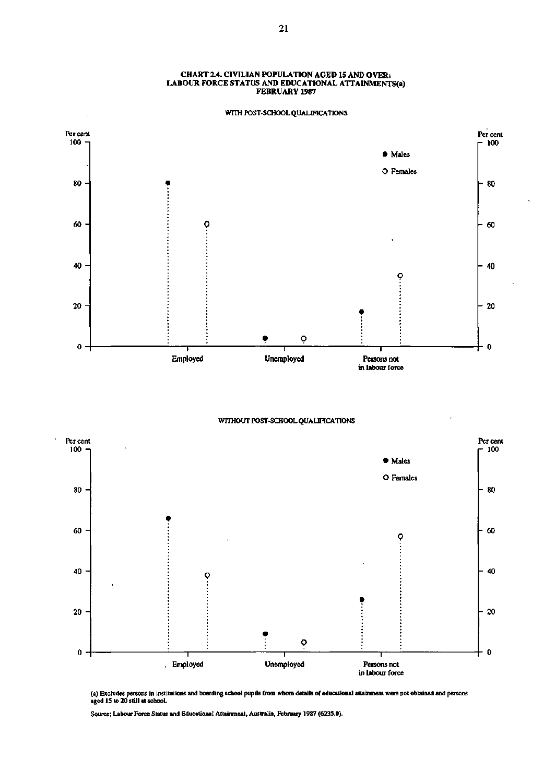### **CHART 2.4. CIVILIAN POPULATION AGED 15 AND OVER: LABOUR FORCE STATUS AND EDUCATIONAL ATTAINMENTS(a) FEBRUARY 1987**

WITH POST-SCHOOL QUALIFICATIONS



WITHOUT POST-SCHOOL QUALIFICATIONS



(a) Excludes persons in institutions and boarding school pupils from whom details of educational attainment were not obtained and persons.<br>aged 15 to 20 still at school.

Source: Labour Force Status and Educational Attainment, Australia, February 1987 (623S.0).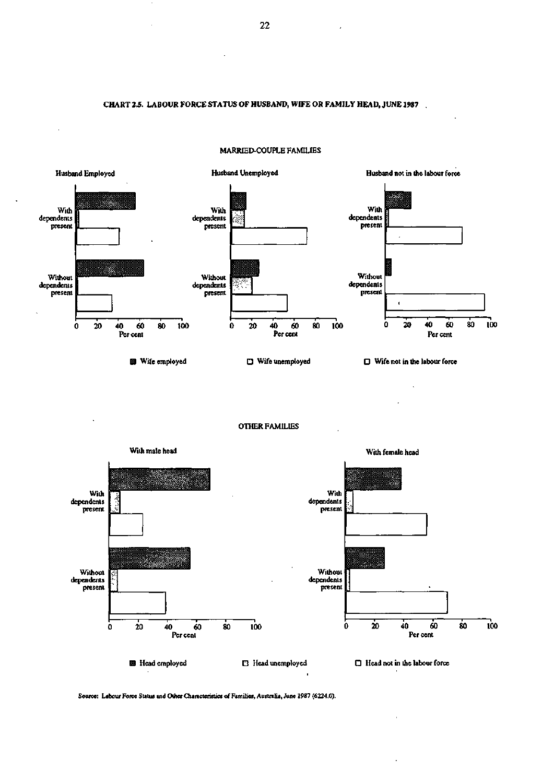**CHART 2.5. LABOUR FORCE STATUS OF HUSBAND, WIFE OR FAMILY HEAD, JUNE 1987** 



MARRIED-COUPLE FAMILIES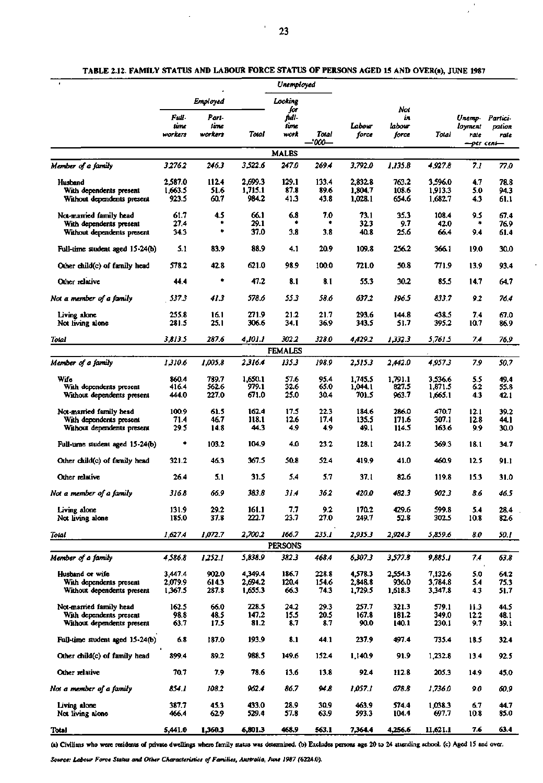$\bar{\mathbf{r}}$ 

# **TABLE 2.12. FAMILY STATUS AND LABOUR FORCE STATUS OF PERSONS AGED 15 AND OVER(a), JUNE 1987**

|                                                       |                    |                |                    | Unemployed              |               |                    |                  |                    |                 |              |
|-------------------------------------------------------|--------------------|----------------|--------------------|-------------------------|---------------|--------------------|------------------|--------------------|-----------------|--------------|
|                                                       |                    | Employed       |                    | Looking                 |               |                    |                  |                    |                 |              |
|                                                       | Full-              | Part-          |                    | for<br>full-            |               |                    | Not<br>iл        |                    | Unemp- Partici- |              |
|                                                       | time               | line           |                    | time                    |               | Labour             | labour           |                    | loyment         | pation       |
|                                                       | workers            | workers        | Total              | work                    | Total         | force              | force            | Total              | rale            | rate         |
|                                                       |                    |                |                    |                         | :000-         |                    |                  |                    | --per cent-     |              |
|                                                       |                    |                |                    | <b>MALES</b>            |               |                    |                  |                    |                 |              |
| Member of a family                                    | 3,276.2            | 246.3          | 3,522.6            | 247.0                   | 269.4         | 3.792.0            | 1.135.8          | 4,927.8            | 7.1             | 77.0         |
| Husband                                               | 2,587.0            | 112.4          | 2,699.3            | 129.1                   | 133.4         | 2,832.8            | 763.2            | 3,596.0            | 4.7             | 78.8         |
| With dependents present                               | 1,663.5            | 51.6           | 1,715.1            | 87.8                    | 89.6          | 1,804.7            | 108.6            | 1,913.3            | 5.0             | 94.3         |
| Without dependents present                            | 923.5              | 60.7           | 984.2              | 41.3                    | 43.8          | 1,028.1            | 654.6            | 1,682.7            | 4.3             | 61.1         |
| Not-married family head                               | 61.7               | 4.5            | 66.1               | 6.8<br>۰                | 7.0<br>۰      | 73.1               | 35.3             | 108.4              | 9.5<br>۰        | 67.4         |
| With dependents present<br>Without dependents present | 27.4<br>34.3       | ٠              | 29.1<br>37.0       | 3.8                     | 3.8           | 32.3<br>40.8       | 9.7<br>25.6      | 42.0<br>66.4       | 9.4             | 76.9<br>61.4 |
| Full-time student aged 15-24(b)                       | 5.1                | 83.9           | 88.9               | 4.1                     | 20.9          | 109.8              | 256.2            | 366 1              | 19.0            | 30.0         |
| Other child(c) of family head                         | 578.2              | 42.8           | 621.0              | 98.9                    | 100.0         | 721.0              | 50.8             | 771.9              | 13.9            | 93.4         |
| Other relative                                        | 44.4               | ۰              | 47.2               | 8.1                     | 8.1           | 55.3               | 30.2             | 85.5               | 14.7            | 64.7         |
| Not a member of a family                              | 537.3              | 41.3           | 578.6              | 55.3                    | 58.6          | 637.2              | 196.5            | 833.7              | 9.2             | 76.4         |
|                                                       |                    |                |                    |                         |               |                    |                  |                    |                 |              |
| Living alone<br>Not living alone                      | 255.8<br>281.5     | 16.1<br>25.1   | 271.9<br>306.6     | 21.2<br>34.1            | 21.7<br>36.9  | 293.6<br>343.5     | 144.8<br>51.7    | 438.5<br>395.2     | 7.4<br>10.7     | 67.0<br>86.9 |
| Total                                                 | 3,813.5            | 287.6          | 4,101.1            | 302.2                   | 328.0         | 4,429.2            | 1,332.3          | 5,761.5            | 7,4             | 76.9         |
|                                                       |                    |                |                    | <b>FEMALES</b>          |               |                    |                  |                    |                 |              |
| Member of a family                                    | 1,310.6            | 1,005.8        | 23164              | 135.3                   | 198.9         | 2,515.3            | 2,442.0          | 4,957.3            | 7.9             | 50.7         |
| Wife                                                  | 860.4              | 789.7          | 1,650.1            | 57.6                    | 95.4          | 1,745.5            | 1.791.1          | 3,536.6            | 5.5             | 49.4         |
| With dependents present                               | 416.4              | 562.6          | 979.1              | 32.6                    | 65.0          | 1,044.1            | 827.5            | 1,871.5            | 6.2             | 55.8         |
| Without dependents present                            | 444.0              | 227.0          | 671.0              | 25.0                    | 30.4          | 701.5              | 963.7            | 1,665.1            | 4.3             | 42.1         |
| Not-married family head                               | 100.9              | 61.5           | 162.4              | 17.5                    | 22.3          | 184.6              | 286.0            | 470.7              | 12.1            | 39.2         |
| With dependents present                               | 71.4               | 46.7           | 118.1<br>44.3      | 12.6                    | 17.4<br>4.9   | 135.5<br>49.1      | 171.6<br>114.5   | 307.1              | 12.8            | 44.1         |
| Without dependents present                            | 29.5               | 14.8           |                    | 4.9                     |               |                    |                  | 163.6              | 9,9             | 30.0         |
| Full-time student aged 15-24(b)                       | ۰                  | 103.2          | 104.9              | 4.0                     | 23.2          | 128.1              | 241.2            | 369.3              | 18.1            | 34.7         |
| Other child(c) of family head                         | 321.2              | 46.3           | 367.5              | 50.8                    | 52.4          | 419.9              | 41.0             | 460.9              | 12.5            | 91.1         |
| Other relative                                        | 26.4               | 5.1            | 31.5               | 5.4                     | 5.7           | 37.1               | 82.6             | 119.8              | 15.3            | 31.0         |
| Not a member of a family                              | 316.8              | 66.9           | 383.8              | 31.4                    | 36.2          | 420.0              | 482.3            | 902.3              | 8.6             | 46.5         |
| Living alone                                          | 131.9              | 29.2           | 161.1              | 7.7                     | 9.2           | 170.2              | 429.6            | 599.8              | 5.4             | 28.4         |
| Not living alone                                      | 185.0              | 37.8           | 222.7              | 23.7                    | 27.0          | 249.7              | 52.8             | 302.5              | 10.8            | 82.6         |
| Total                                                 | 1,627.4            | 1,072.7        | 2,700.2            | 166.7                   | 235.1         | 2,935.3            | 2,924.3          | 5,859.6            | 8.0             | 50.I         |
| Member of a family                                    | 4,586.8            | 1,252.1        | 5,838.9            | <b>PERSONS</b><br>382.3 | 468.4         | 6,307.3            | 3,577.8          | 9,885.1            | 7.4             | 63.8         |
|                                                       |                    |                |                    |                         |               |                    |                  |                    |                 |              |
| Husband or wife                                       | 3,447.4            | 902.0          | 4,349.4            | 186.7                   | 228.8         | 4,578.3            | 2.554.3          | 7,132.6            | 5.0             | 64.2         |
| With dependents present<br>Without dependents present | 2,079.9<br>1,367.5 | 614.3<br>287.8 | 2,694.2<br>1,655.3 | 120.4<br>66.3           | 154.6<br>74.3 | 2,848.8<br>1,729.5 | 936.0<br>1,618.3 | 3,784.8<br>3,347.8 | 5.4<br>4.3      | 75.3<br>51.7 |
| Not-married family head                               | 162.5              | 66.0           | 228.5              | 24.2                    | 29.3          | 257.7              | 321.3            | 579.1              | 11.3            | 44.5         |
| With dependents present                               | 98.8               | 48.5           | 147.2              | 15.5                    | 20.5          | 167.8              | 181.2            | 349.0              | 12.2            | 48.1         |
| Without dependents present                            | 63.7               | 17.5           | 81.2               | 8.7                     | 8.7           | 90.0               | 140.1            | 230.1              | 9.7             | 39.1         |
| Full-time student aged 15-24(b)                       | 6.8                | 187.0          | 193.9              | 8.1                     | 44.1          | 237.9              | 497.4            | 735.4              | 18.5            | 32.4         |
| Other child(c) of family head                         | 899.4              | 89.2           | 988.5              | 149.6                   | 152.4         | 1,140.9            | 91.9             | 1,232.8            | 13.4            | 92.5         |
| Other relative                                        | 70.7               | 7.9            | 78.6               | 13.6                    | 13.8          | 92.4               | 112.8            | 205.3              | 14.9            | 45.0         |
| Nos a member of a family                              | 854.1              | 108.2          | 962.4              | 86.7                    | 94.8          | 1,057.I            | 678.8            | 1,736.0            | 9.0             | 60.9         |
| Living alone<br>Not living alone                      | 387.7<br>466.4     | 45.3<br>62.9   | 433.0<br>529.4     | 28.9<br>57.8            | 30.9<br>63.9  | 463.9<br>593.3     | 574.4<br>104.4   | 1,038.3<br>697.7   | 6.7<br>10.8     | 44.7<br>85.0 |
| Total                                                 | 5,441.0            | 1,360.3        | 6,801.3            | 468.9                   | 563.1         | 7,364.4            | 4,256.6          | 11,621.1           | 7.6             | 63.4         |

**(a) Civilians who were residents of private dwellings where family status was determined, (b) Excludes persons age 20 to 24 attending school, (c) Aged 15 and over.**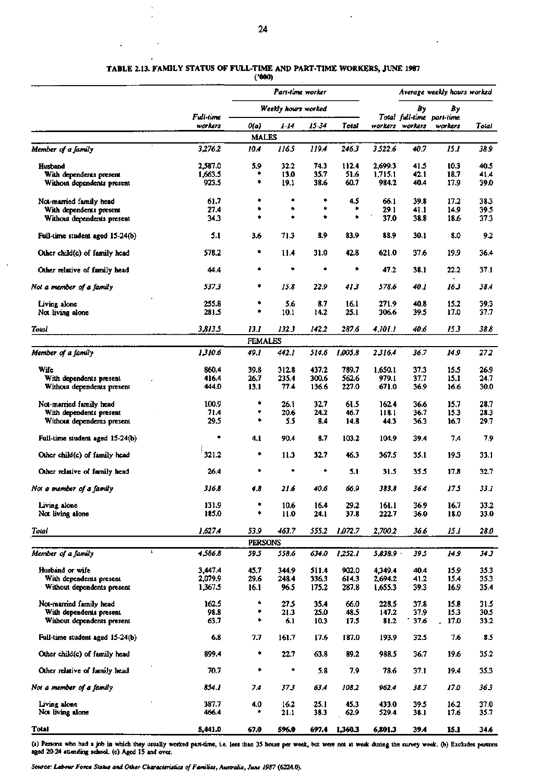l,

 $\overline{1}$ 

l.

 $\ddot{\phantom{0}}$ 

# **TABLE 2.13. FAMILY STATUS OF FULL-TIME AND PART-TIME WORKERS, JUNE 1987**

# **(•000)**

|                                                       | Part-time worker   |                      |                     |                | Average weekly hours worked |                    |                 |                                      |              |
|-------------------------------------------------------|--------------------|----------------------|---------------------|----------------|-----------------------------|--------------------|-----------------|--------------------------------------|--------------|
|                                                       | Full-time          |                      | Weekly hours worked |                |                             |                    | Bу              | Bу                                   |              |
|                                                       | workers            | 0(a)                 | 1-14                | 15-34          | Total                       |                    | workers workers | Total full-time part-time<br>workers | Total        |
|                                                       | 3,276.2            | <b>MALES</b><br>10.4 | 116.5               | 119.4          | 246.3                       | 3,522.6            | 40.7            | 15.1                                 | 38.9         |
| Member of a family                                    |                    |                      |                     |                |                             |                    |                 |                                      |              |
| Husband                                               | 2,587.0            | 5.9                  | 32.2                | 74.3           | 112.4                       | 2,699.3            | 41.5            | 10.3                                 | 40.5         |
| With dependents present<br>Without dependents present | 1,663.5<br>923.5   | ۰<br>۰               | 13.0<br>19.1        | 35.7<br>38.6   | 51.6<br>60.7                | 1,715.1<br>984.2   | 42.1<br>40.4    | 18.7<br>17.9                         | 41.4<br>39.0 |
|                                                       |                    |                      |                     |                |                             |                    |                 |                                      |              |
| Not-married family head                               | 61.7               | ۰                    | ۰                   | ٠              | 4.5                         | 66.1               | 39.8            | 17.2                                 | 38.3         |
| With dependents present                               | 27.4               | ۰                    | 4                   | ٠              | ٠                           | 29.1               | 41.1            | 14.9                                 | 39.5         |
| Without dependents present                            | 34.3               | ۰                    | ۰                   | ۰              | ۰                           | 37.0               | 38.8            | 18.6                                 | 37.3         |
| Full-time student aged 15-24(b)                       | 5.1                | 3.6                  | 71.3                | 8.9            | 83.9                        | 88.9               | 30.1            | 8.0                                  | 9.2          |
| Other child(c) of family head                         | 578.2              | ۰                    | 11.4                | 31.0           | 42.8                        | 621.0              | 37.6            | 19.9                                 | 36.4         |
| Other relative of family head                         | 44.4               | ۰                    | ۰                   | ۰              | ۰                           | 47.2               | 38.1            | 22.2                                 | 37.1         |
| Not a member of a family                              | 537.3              | ۰                    | 15.8                | 22.9           | 413                         | 578.6              | 40.1            | 163                                  | 38.4         |
| Living alone                                          | 255.8              | ۰                    | 5.6                 | 8.7            | 16.1                        | 271.9              | 40.8            | 15.2                                 | 39.3         |
| Not living alone                                      | 281.5              | ۰                    | 10.1                | 14.2           | 25.1                        | 306.6              | 39.5            | 17.0                                 | 37.7         |
| Total                                                 | 3,813.5            | 13.1                 | 132.3               | 142.2          | 287.6                       | 4,101.1            | 40.6            | 153                                  | 38.8         |
|                                                       |                    | <b>FEMALES</b>       |                     |                |                             |                    |                 |                                      |              |
| Member of a family                                    | 1,310.6            | 49.1                 | 442.1               | 514.6          | 1,005.8                     | 2,316.4            | 36.7            | 14.9                                 | 27.2         |
| Wife                                                  | 860.4              | 39.8                 | 312.8               | 437.2          | 789.7                       | 1,650.1            | 37.3            | 15.5                                 | 26.9         |
| With dependents present                               | 416.4              | 26.7                 | 235.4               | 300.6          | 562.6                       | 979.1              | 37.7            | 15.1                                 | 24.7         |
| Without dependents present                            | 444.0              | 13.1                 | 77.4                | 136.6          | 227.0                       | 671.0              | 36.9            | 16.6                                 | 30.0         |
| Not-married family head                               | 100.9              | ٠                    | 26.1                | 32.7           | 61.5                        | 162.4              | 36.6            | 15.7                                 | 28.7         |
| With dependents present                               | 71.4               | ٠                    | 20.6                | 24.2           | 46.7                        | 118.1              | 36.7            | 15.3                                 | 28.3         |
| Without dependents present                            | 29.5               | ٠                    | 55                  | 8.4            | 14.8                        | 44.3               | 36.3            | 16.7                                 | 29.7         |
| Full-time student aged 15-24(b)                       | ٠                  | 4.1                  | 90.4                | 8.7            | 103.2                       | 104.9              | 39.4            | 7.4                                  | 7.9          |
| Other child(c) of family head                         | 321.2              | ۰                    | 11.3                | 32.7           | 46.3                        | 367.5              | 35.1            | 19.3                                 | 33.1         |
| Other relative of family head                         | 26.4               | ٠                    | ٠                   |                | 5.1                         | 31.5               | 35.5            | 17.8                                 | 32.7         |
| Not a member of a family                              | 316.8              | 4.8                  | 21.6                | 40.6           | 66.9                        | 383.8              | 36.4            | 17.5                                 | 33.1         |
| Living alone                                          | 131.9              | ٠                    | 10.6                | 16.4           | 29.2                        | 161.1              | 36.9            | 16.7                                 | 33.2         |
| Not living alone                                      | 185.0              | ٠                    | 11.0                | 24.1           | 37.8                        | 222.7              | 36.0            | 18.0                                 | 33.0         |
| Total                                                 | 1,627.4            | 53.9                 | 463.7               | 555.2          | 1,072.7                     | 2,700.2            | 36.6            | 15 J                                 | 28.O         |
|                                                       |                    | <b>PERSONS</b>       |                     |                |                             |                    |                 |                                      |              |
| τ<br>Member of a family                               | 4,586.8            | 59.5                 | 558.6               | 634.0          | 1,252.1                     | 5,838.9            | 39.5            | 14.9                                 | 34 J         |
|                                                       |                    |                      |                     |                |                             |                    |                 |                                      |              |
| Husband or wife                                       | 3,447.4            | 45.7                 | 344.9               | 511.4          | 902.0                       | 4,349.4            | 40.4            | 15.9                                 | 35.3         |
| With dependents present                               | 2,079.9<br>1,367.5 | 29.6<br>16.1         | 248.4<br>96.5       | 336.3<br>175.2 | 614.3<br>287.8              | 2,694.2<br>1,655.3 | 41.2<br>39.3    | 15.4<br>16.9                         | 35.3<br>35.4 |
| Without dependents present                            |                    |                      |                     |                |                             |                    |                 |                                      |              |
| Not-married family head                               | 162.5              | ٠                    | 27.5                | 35.4           | 66.0                        | 228.5              | 37.8            | 15.8                                 | 31.5         |
| With dependents present                               | 98.8               | ۰<br>٠               | 21.3                | 25.0           | 48.5                        | 147.2              | 37.9            | 15.3                                 | 30.5         |
| Without dependents present                            | 63.7               |                      | 6.1                 | 10.3           | 17.5                        | 81.2               | 37.6            | 17.0                                 | 33.2         |
| Full-time student aged 15-24(b)                       | 6.8                | 7.7                  | 161.7               | 17.6           | 187.0                       | 193.9              | 32.5            | 7.6                                  | 8.5          |
| Other child(c) of family head                         | 899.4              | ۰                    | 22.7                | 63.8           | 89.2                        | 988.5              | 36.7            | 19.6                                 | 35.2         |
| Other relative of family head                         | 70.7               | ۰                    | ٠                   | 5.8            | 7.9                         | 78.6               | 37.1            | 19.4                                 | 35.3         |
| Not a member of a family                              | 854.1              | 74                   | 37.3                | 63.4           | 108.2                       | 962.4              | 38.7            | 17.0                                 | 363          |
| Living alone<br>Not living alone                      | 387.7<br>466.4     | 4.0                  | 16.2<br>21.1        | 25.1<br>38.3   | 45.3<br>62.9                | 433.0<br>529.4     | 39.5<br>38.1    | 16.2<br>17.6                         | 37.0<br>35.7 |
| Total                                                 | 5,441.0            | 67.0                 | 596.0               | 697.4          | 1,360.3                     | 6,801.3            | 39.4            | 15.1                                 | 34.6         |
|                                                       |                    |                      |                     |                |                             |                    |                 |                                      |              |

(a) Persons who had a job in which they usually worked part-tirne, i.e. less than 35 hours per week, but were not at work during the survey week. (b) Excludes persons<br>aged 20-24 attending school. (c) Aged 15 and over.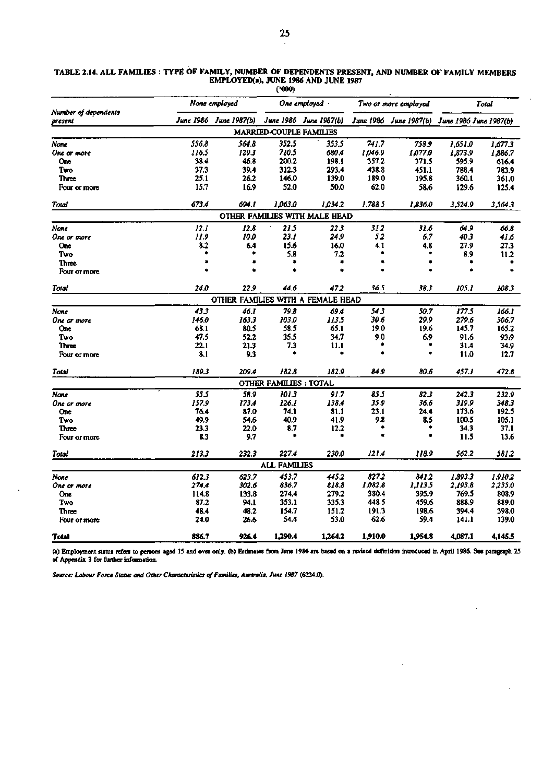| --     |  |  |
|--------|--|--|
| ч<br>- |  |  |
|        |  |  |
|        |  |  |
|        |  |  |
|        |  |  |

 $\mathbf{r}$ 

|                      |       |                        | (7000)                         |                                   |         |                        |                                 |         |  |
|----------------------|-------|------------------------|--------------------------------|-----------------------------------|---------|------------------------|---------------------------------|---------|--|
| Number of dependents |       | None employed          |                                | $One$ employed $\cdot$            |         | Two or more employed   | Total<br>June 1986 June 1987(b) |         |  |
| present              |       | June 1986 June 1987(b) |                                | June 1986 June 1987(b)            |         | June 1986 June 1987(b) |                                 |         |  |
|                      |       |                        | <b>MARRIED-COUPLE FAMILIES</b> |                                   |         |                        |                                 |         |  |
| None                 | 556.8 | 564.8                  | 352.5                          | 353.5                             | 741.7   | 758.9                  | 1,651.0                         | 1,677.3 |  |
| One or more          | 116.5 | 129.3                  | 710.5                          | 680.4                             | 1,046.9 | 1,077.0                | 1,873.9                         | 1,886.7 |  |
| One                  | 38.4  | 46.8                   | 200.2                          | 198.1                             | 357.2   | 371.5                  | 595.9                           | 616.4   |  |
| Two                  | 37.3  | 39.4                   | 312.3                          | 293.4                             | 438.8   | 451.1                  | 788.4                           | 783.9   |  |
| Three                | 25.1  | 26.2                   | 146.0                          | 139.0                             | 189.0   | 195.8                  | 360.1                           | 361.0   |  |
| Four or more         | 15.7  | 16.9                   | 52.0                           | 50.0                              | 62.0    | 58.6                   | 129.6                           | 125.4   |  |
| Total                | 673.4 | 694.1                  | 1.063.0                        | 1,034.2                           | 1,788.5 | 1,836.0                | 3,524.9                         | 3,564.3 |  |
|                      |       |                        |                                | OTHER FAMILIES WITH MALE HEAD     |         |                        |                                 |         |  |
| None                 | 12.1  | 12.8                   | 215                            | 22.3                              | 312     | 31.6                   | 64.9                            | 66.8    |  |
| One or more          | 11.9  | 10.0                   | 23.1                           | 24.9                              | 52      | 6.7                    | 40 J                            | 41.6    |  |
| One                  | 8.2   | 6.4                    | 15.6                           | 16.0                              | 4.1     | 4.8                    | 27.9                            | 27.3    |  |
| Two                  |       |                        | 5.8                            | 7.2                               |         | ۰                      | 8.9                             | 11.2    |  |
| Three                | ۰     |                        | ٠                              |                                   | ٠       | ۰                      | ٠                               | ۰       |  |
| Four or more         | ۰     |                        | ٠                              | à                                 |         | ٠                      | ÷                               | ۰       |  |
| Total                | 24.0  | 22.9                   | 44.6                           | 472                               | 365     | 38.3                   | 105.1                           | 108.3   |  |
|                      |       |                        |                                | OTHER FAMILIES WITH A FEMALE HEAD |         |                        |                                 |         |  |
| None                 | 433   | 46.1                   | 79.8                           | 69.4                              | 54.3    | 50.7                   | 177.5                           | 166.1   |  |
| One or more          | 146.0 | 163.3                  | 103.0                          | 113.5                             | 30.6    | 29.9                   | 279.6                           | 306.7   |  |
| Oпс                  | 68.1  | 80.5                   | 58.5                           | 65.1                              | 19.0    | 19.6                   | 145.7                           | 165.2   |  |
| Two                  | 47.5  | 52.2                   | 35.5                           | 34.7                              | 9.0     | 6.9                    | 91.6                            | 93.9    |  |
| Three                | 22.1  | 21.3                   | 7.3                            | 11.1                              | ź,      | ۰                      | 31.4                            | 34.9    |  |
| Four or more         | 8.1   | 9.3                    |                                |                                   |         | ٠                      | 11.0                            | 12.7    |  |
| Total                | 189.3 | 209.4                  | 182.8                          | 182.9                             | 84.9    | 80.6                   | 457.1                           | 472.8   |  |
|                      |       |                        | <b>OTHER FAMILIES: TOTAL</b>   |                                   |         |                        |                                 |         |  |
| None                 | 555   | 58.9                   | 101.3                          | 91.7                              | 85.5    | 823                    | 242.3                           | 232.9   |  |
| One or more          | 157.9 | 173.4                  | 126.I                          | 138.4                             | 35.9    | 36.6                   | 319.9                           | 348.3   |  |
| One                  | 76.4  | 87.0                   | 74.1                           | 81.1                              | 23.1    | 24.4                   | 173.6                           | 192.5   |  |
| Two                  | 49.9  | 54.6                   | 40.9                           | 41.9                              | 9.8     | 8.5                    | 100.5                           | 105.1   |  |
| Three                | 23.3  | 22.0                   | 8.7                            | 12.2                              | ٠       | ۰                      | 34.3                            | 37.1    |  |
| Four or more         | 8.3   | 9.7                    |                                |                                   |         | ٠                      | 11.5                            | 13.6    |  |
| Total                | 213.3 | 232.3                  | 227.4                          | 230.0                             | 121.4   | 118.9                  | 562.2                           | 581.2   |  |
|                      |       |                        | <b>ALL FAMILIES</b>            |                                   |         |                        |                                 |         |  |
| None                 | 612.3 | 623.7                  | 453.7                          | 445.2                             | 827.2   | 841.2                  | 1,893.3                         | 1,910.2 |  |
| One or more          | 274.4 | 302.6                  | 836.7                          | 818.8                             | 1,082.8 | 1,113.5                | 2,193.8                         | 2,235.0 |  |
| Oпе                  | 114.8 | 133.8                  | 274.4                          | 279.2                             | 380.4   | 395.9                  | 769.5                           | 808.9   |  |
| Two                  | 87.2  | 94.1                   | 353.1                          | 335.3                             | 448.5   | 459.6                  | 888.9                           | 889.0   |  |
| Three                | 48.4  | 48.2                   | 154.7                          | 151.2                             | 191.3   | 198.6                  | 394.4                           | 398.0   |  |
| Four or more         | 24.0  | 26.6                   | 54.4                           | 53.0                              | 62.6    | 59.4                   | 141.1                           | 139.0   |  |
| Total                | 886.7 | 926.4                  | 1,290.4                        | 1,264.2                           | 1,910.0 | 1,954.8                | 4.087.1                         | 4.145.5 |  |

#### **TABLE 2.14. ALL FAMILIES TYPE OF FAMILY, NUMBER** OF DEPENDENTS PRESENT, AND NUMBER OF FAMILY MEMBERS **EMPLOYED(a), JUNE 1986 AND** JUNE **1987**

(a) Employment status refers to persons aged 15 and over only, (b) Estimates from June 1986 **are** based on a revised definition introduced in April 1986. See paragraph 25 of Appendix 3 for further information.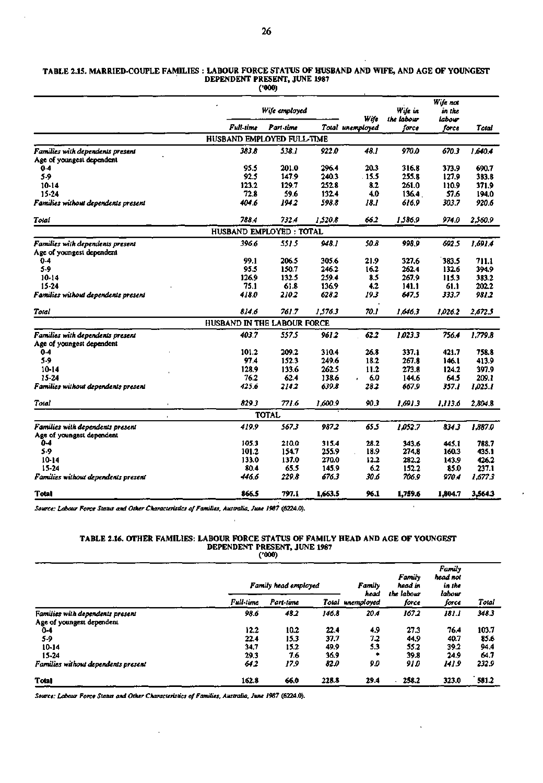# **26**

#### **TABLE 2.15. MARRIED-COUPLE FAMILIES : LABOUR FORCE STATUS OF HUSBAND AND WIFE, AND AGE OF YOUNGEST DEPENDENT PRESENT, JUNE 1987 (\*000)**

|                                     |                             | Wife employed |         | Wife             | Wife in<br>the labour | Wife not<br>in the<br>labour |         |
|-------------------------------------|-----------------------------|---------------|---------|------------------|-----------------------|------------------------------|---------|
|                                     | <b>Full-time</b>            | Part-time     |         | Total unemployed | force                 | force                        | Total   |
|                                     | HUSBAND EMPLOYED FULL-TIME  |               |         |                  |                       |                              |         |
| Families with dependents present    | 383.8                       | 538.1         | 922.0   | 48.I             | 970.0                 | 670.3                        | 1.640.4 |
| Age of youngest dependent           |                             |               |         |                  |                       |                              |         |
| $0-4$                               | 95.5                        | 201.0         | 296.4   | 20.3             | 316.8                 | 373.9                        | 690.7   |
| 5.9                                 | 92.5                        | 147.9         | 240.3   | .15.5            | 255.8                 | 127.9                        | 383.8   |
| 10-14                               | 123.2                       | 129.7         | 252.8   | 8.2              | 261.0                 | 110.9                        | 371.9   |
| 15-24                               | 72.8                        | 59.6          | 132.4   | 4.0              | 136.4                 | 57.6                         | 194.0   |
| Families without dependents present | 404.6                       | 194.2         | 598.8   | 18.1             | 616.9                 | 303.7                        | 920.6   |
| Total                               | 788.4                       | 732.4         | 1,520.8 | 662              | 1,586.9               | 974.0                        | 2.560.9 |
|                                     | HUSBAND EMPLOYED: TOTAL     |               |         |                  |                       |                              |         |
| Families with dependents present    | 396.6                       | 551.5         | 948.1   | 50.8             | 998.9                 | 692.5                        | 1.691.4 |
| Age of youngest dependent           |                             |               |         |                  |                       |                              |         |
| $0 - 4$                             | 99.1                        | 206.5         | 305.6   | 21.9             | 327.6                 | 383.5                        | 711.1   |
| 5-9                                 | 95.5                        | 150.7         | 246.2   | 16.2             | 262.4                 | 132.6                        | 394.9   |
| $10-14$                             | 126.9                       | 132.5         | 259.4   | 8.5              | 267.9                 | 115.3                        | 383.2   |
| 15-24                               | 75.1                        | 61.8          | 136.9   | 4.2              | 141.1                 | 61.1                         | 202.2   |
| Families without dependents present | 418.0                       | 210.2         | 628.2   | 19.3             | 647.5                 | 333.7                        | 981.2   |
| Total                               | 814.6                       | 761.7         | 1,576.3 | 70.I             | 1.646.3               | 1,026.2                      | 2,672.5 |
|                                     | HUSBAND IN THE LABOUR FORCE |               |         |                  |                       |                              |         |
| Families with dependents present    | 403,7                       | 557.5         | 9612    | 62.2             | 1,023.3               | 756.4                        | 1,779.8 |
| Age of youngest dependent           |                             |               |         |                  |                       |                              |         |
| $0-4$                               | 101.2                       | 209.2         | 310.4   | 26.8             | 337.1                 | 421.7                        | 758.8   |
| 5.9                                 | 97.4                        | 152.3         | 249.6   | 18.2             | 267.8                 | 146.1                        | 413.9   |
| $10 - 14$                           | 128.9                       | 133.6         | 262.5   | 11.2             | 273.8                 | 124.2                        | 397.9   |
| 15-24                               | 76.2                        | 62.4          | 138.6   | 6.0              | 144.6                 | 64.5                         | 209.1   |
| Families without dependents present | 425.6                       | 2142          | 639.8   | 28.2             | 667.9                 | 357.1                        | 1.025.1 |
| Total                               | 829.3                       | 771.6         | 1,600.9 | 90.3             | 1,691.3               | 1,113.6                      | 2,804.8 |
| $\mathbf{r}$                        |                             | <b>TOTAL</b>  |         |                  |                       |                              |         |
| Families with dependents present    | 419.9                       | 567.3         | 987.2   | 65.5             | 1,052.7               | 834.3                        | 1,887.0 |
| Age of youngest dependent           |                             |               |         |                  |                       |                              |         |
| 0-4                                 | 105.3                       | 210.0         | 315.4   | 28.2             | 343.6                 | 445.1                        | 788.7   |
| 5-9                                 | 101.2                       | 154.7         | 255.9   | 18.9             | 274.8                 | 160.3                        | 435.1   |
| 10-14                               | 133.0                       | 137.0         | 270.0   | 12.2             | 282.2                 | 143.9                        | 426.2   |
| 15-24                               | 80.4                        | 65.5          | 145.9   | 6.2              | 152.2                 | 85.0                         | 237.1   |
| Families without dependents present | 446.6                       | 229.8         | 676.3   | 30.6             | 706.9                 | 970.4                        | 1.677.3 |
| Total                               | 866.5                       | 797.1         | 1,663.5 | 96.1             | 1,759.6               | 1,804.7                      | 3,564.3 |

*Source: Labour Force Status and Other Characteristics of Families, Australia. June 1987* **(6224.0).** 

# **TABLE 2.16. OTHER FAMILIES: LABOUR FORCE STATUS OF FAMILY HEAD AND AGE OF YOUNGEST DEPENDENT PRESENT, JUNE 1987 ('000)**

l,

| ٠<br>П<br>ı<br>i. |
|-------------------|
|-------------------|

|                                     |                  | Family head employed |       | Family<br>head   | Family<br>head in<br>the labour | Family<br>head not<br>in the<br>labour |       |
|-------------------------------------|------------------|----------------------|-------|------------------|---------------------------------|----------------------------------------|-------|
|                                     | <b>Full-time</b> | Part-time            |       | Total unemployed | force                           | force                                  | Total |
| Families with dependents present    | 98.6             | 482                  | 146.8 | 20.4             | 167.2                           | 181.1                                  | 348.3 |
| Age of youngest dependent           |                  |                      |       |                  |                                 |                                        |       |
| 0-4                                 | 12.2             | 10.2                 | 22.4  | 4.9              | 27.3                            | 76.4                                   | 103.7 |
| 5.9                                 | 22.4             | 15.3                 | 37.7  | 7.2              | 44.9                            | 40.7                                   | 85.6  |
| $10 - 14$                           | 34.7             | 15.2                 | 49.9  | 5.3              | 55.2                            | 39.2                                   | 94.4  |
| $15 - 24$                           | 29.3             | 7.6                  | 36.9  |                  | 39.8                            | 24.9                                   | 64.7  |
| Families without dependents present | 642              | 17.9                 | 82.0  | 9.0              | 91.0                            | 141.9                                  | 232.9 |
| <b>Total</b>                        | 162.8            | 66.0                 | 228.8 | 29.4             | 258.2                           | 323.0                                  | 581.2 |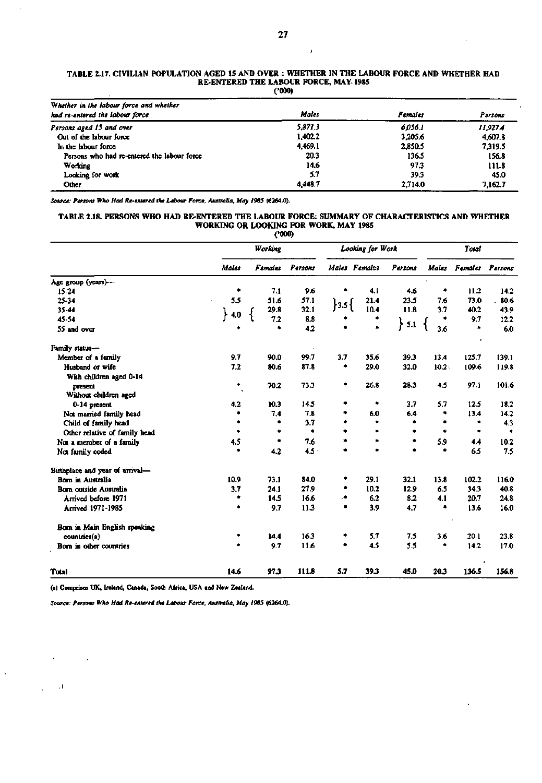|                                             | (200)   |         |          |  |  |  |  |  |  |
|---------------------------------------------|---------|---------|----------|--|--|--|--|--|--|
| Whether in the labour force and whether     |         |         |          |  |  |  |  |  |  |
| had re-entered the labour force             | Maies   | Females | Persons  |  |  |  |  |  |  |
| Persons aged 15 and over                    | 5,871.3 | 6.056.1 | 11.927.4 |  |  |  |  |  |  |
| Out of the labour force                     | 1,402.2 | 3,205.6 | 4,607.8  |  |  |  |  |  |  |
| In the labour force                         | 4,469.1 | 2,850.5 | 7.319.5  |  |  |  |  |  |  |
| Persons who had re-entered the labour force | 20.3    | 136.5   | 156.8    |  |  |  |  |  |  |
| Working                                     | 14.6    | 97.3    | 111.8    |  |  |  |  |  |  |
| Looking for work                            | 5.7     | 39.3    | 45.0     |  |  |  |  |  |  |
| Other                                       | 4,448.7 | 2,714.0 | 7.162.7  |  |  |  |  |  |  |

### **TABLE 2.17. CIVILIAN POPULATION AGED IS AND OVER : WHETHER IN THE LABOUR FORCE AND WHETHER HAD RE-ENTERED THE LABOUR FORCE, MAY 1985**

*Source: Persons Who Had He-entered the Labour Force, Australia, May 1985* **(6264.0).** 

#### **TABLE 2.18. PERSONS WHO HAD RE-ENTERED THE LABOUR FORCE: SUMMARY OF CHARACTERISTICS AND WHETHER WORKING OR LOOKING FOR WORK, MAY 1985 (•000)**

|                                 | <b>Working</b> |                |                  |        | Looking for Work |           |           | Total           |           |  |
|---------------------------------|----------------|----------------|------------------|--------|------------------|-----------|-----------|-----------------|-----------|--|
|                                 | <b>Maies</b>   | <b>Females</b> | Persons          |        | Males Females    | Persons   | Males     | Females Persons |           |  |
| Age group (years)-              |                |                |                  |        |                  |           |           |                 |           |  |
| 15-24                           | ٠              | 7.1            | 9.6              | ٠      | 4.1              | 4.6       | ۰         | 11.2            | 14.2      |  |
| 25-34                           | 5.5            | 51.6           | 57.1             | }3.5 { | 21.4             | 23.5      | 7.6       | 73.0            | 80.6      |  |
| 35-44                           | 4.0            | 29.8           | 32.1             |        | 10.4             | 11.8      | 3.7       | 40.2            | 43.9      |  |
| 45-54                           |                | 7.2            | 8.8              |        |                  |           |           | 9.7             | 12.2      |  |
| 55 and over                     |                | ٠              | 4.2              |        | $\bullet$        | }<br>5.1  | 3.6       | ۰               | 6.0       |  |
| Family status-                  |                |                |                  |        |                  |           |           |                 |           |  |
| Member of a family              | 9.7            | 90.0           | 99.7             | 3.7    | 35.6             | 39.3      | 13.4      | 125.7           | 139.1     |  |
| Husband or wife                 | 7.2            | 80.6           | 87.8             | ۰      | 29.0             | 32.0      | $10.2 -$  | 109.6           | 119.8     |  |
| With children aged 0-14         |                |                |                  |        |                  |           |           |                 |           |  |
| present                         | ٠              | 70.2           | 73.3             | ۰      | 26.8             | 28.3      | 4.5       | 97.1            | 101.6     |  |
| Without children aged           | $\Lambda$      |                |                  |        |                  |           |           |                 |           |  |
| 0-14 present                    | 4.2            | 10.3           | 14.5             | ٠      | ٠                | 3.7       | 5.7       | 12.5            | 18.2      |  |
| Not married family head         |                | 7.4            | 7.8              | ۰      | 6.0              | 6.4       | ۰         | 13.4            | 14.2      |  |
| Child of family head            | ۰              | ۰              | 3.7              | ۰      | ۰                | ۰         | ۰         | ۰               | 4.3       |  |
| Other relative of family head   | ۰              | ۰              | ۰                | ٠      |                  |           | $\bullet$ | ۰               | $\bullet$ |  |
| Not a member of a family        | 4.5            | $\bullet$      | 7.6              | ۰      | ٠                | ۰         | 5.9       | 4.4             | 10.2      |  |
| Not family coded                | ٠              | 4.2            | 4.5 <sub>3</sub> | ٠      | $\bullet$        | $\bullet$ | ٠         | 6.5             | 7.5       |  |
| Birthplace and year of arrival- |                |                |                  |        |                  |           |           |                 |           |  |
| Born in Australia               | 10.9           | 73.1           | 84.0             |        | 29.1             | 32.1      | 13.8      | 102.2           | 116.0     |  |
| Born outside Australia          | 3.7            | 24.1           | 27.9             | ۰      | 10.2             | 12.9      | 6.5       | 34.3            | 40.8      |  |
| Arrived before 1971             | ٠              | 14.5           | 16.6             | ۰.     | 6.2              | 8.2       | 4.1       | 20.7            | 24.8      |  |
| Arrived 1971-1985               | ٠              | 9.7            | 11.3             | ۰      | 3.9              | 4.7       | ۰         | 13.6            | 16.0      |  |
| Born in Main English speaking   |                |                |                  |        |                  |           |           |                 |           |  |
| countries(a)                    | ٠              | 14.4           | 16.3             |        | 5.7              | 7.5       | 3.6       | 20.1            | 23.8      |  |
| Bom in other countries          | ۰              | 9.7            | 11.6             | ۰      | 4.5              | 5.5       | ۰         | 14.2            | 17.0      |  |
| <b>Total</b>                    | 14.6           | 97.3           | 111.8            | 5.7    | 39.3             | 45.0      | 20.3      | 136.5           | 156.8     |  |

**(a) Comprises UK, Ireland, Canada, South Africa, USA and New Zealand.** 

 $\mathcal{A}$ 

 $\sim$  1  $\ddot{\phantom{a}}$ 

 $\ddot{\phantom{a}}$ 

*Source: Persons Who Had Re-entered the Labour Force. Australia, May 1985* **(6264.0).** 

 $\overline{1}$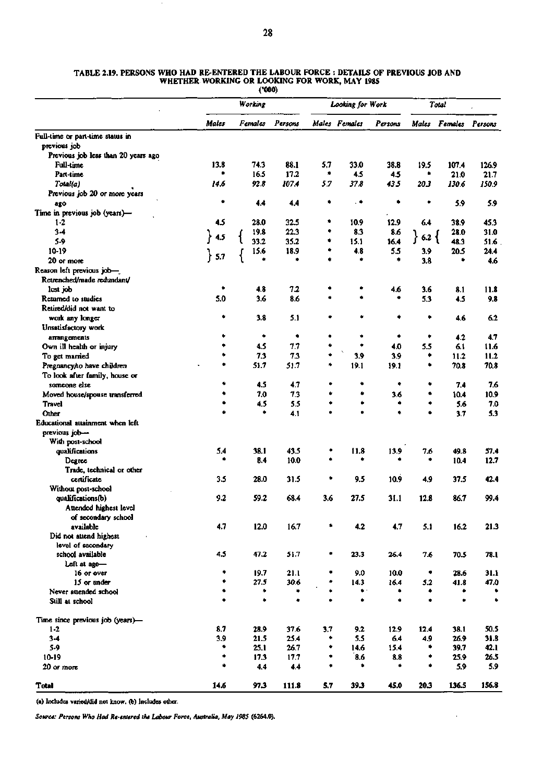$\blacksquare$ 

|                                     |              | <b>Working</b> |         |        | Looking for Work |         |        | <b>Total</b>          |           |  |
|-------------------------------------|--------------|----------------|---------|--------|------------------|---------|--------|-----------------------|-----------|--|
|                                     | <b>Males</b> | Females        | Persons |        | Males Females    | Persons |        | Maies Females Persons |           |  |
| Full-time or part-time status in    |              |                |         |        |                  |         |        |                       |           |  |
| previous job                        |              |                |         |        |                  |         |        |                       |           |  |
| Previous job less than 20 years ago |              |                |         |        |                  |         |        |                       |           |  |
| Full-time                           | 13.8         | 74.3           | 88.1    | 5.7    | 33.0             | 38.8    | 19.5   | 107.4                 | 126.9     |  |
| Part-time                           | ۰            | 16.5           | 17.2    | ۰      | 4.5              | 4.5     | ۰      | 21.0                  | 21.7      |  |
| Total(a)                            | 14.6         | 92.8           | 107.4   | 5.7    | 37.8             | 435     | 20.3   | 130.6                 | 150.9     |  |
| Previous job 20 or more years       |              |                |         |        |                  |         |        |                       |           |  |
| 820                                 | ۰            | 4.4            | 4.4     | ۰      | ۰.               | ۰       | ٠      | 5.9                   | 5.9       |  |
| Time in previous job (years)-       |              |                |         |        |                  |         |        |                       |           |  |
| $1 - 2$                             | 4.5          | 28.0           | 32.5    | ۰      | 10.9             | 12.9    | 6.4    | 38.9                  | 45.3      |  |
| $3-4$                               | $\}$ 4.5     | 19.8           | 22.3    | ٠      | 8.3              | 8.6     | 6.2    | 28.0                  | 31.0      |  |
| $5-9$                               |              | 33.2           | 35.2    | ۰      | 15.1             | 16.4    |        | 48.3                  | 51.6      |  |
| 10-19                               | 5.7          | 15.6           | 18.9    | ۰      | 4.8              | 5.5     | 3.9    | <b>20.5</b>           | 24.4      |  |
| 20 or more                          |              | ٠              | ٠       | ٠      | ٠                | ۰       | 3.8    | ٠                     | 4.6       |  |
| Reason left previous job-           |              |                |         |        |                  |         |        |                       |           |  |
| Retrenched/made redundant/          |              |                |         |        |                  |         |        |                       |           |  |
| lost job                            |              | 4.8            | 7.2     |        |                  | 4.6     | 3.6    | 8.1                   | 11.8      |  |
| Returned to studies                 | 5.0          | 3.6            | 8.6     |        |                  |         | 5.3    | 4.5                   | 9.8       |  |
| Retired/did not want to             |              |                |         |        |                  |         |        |                       |           |  |
| work any longer                     | ۰            | 3.8            | 5.1     | ٠      |                  | ۰       | ۰      | 4.6                   | 6.2       |  |
| Unsatisfactory work                 |              |                |         |        |                  |         |        |                       |           |  |
| arrangements                        |              | ٠              | ۰       |        |                  | ۰       | ٠      | 4.2                   | 4.7       |  |
| Own ill health or injury            | ۰            | 4.5            | 7.7     | ٠      | ٠<br>N           | 4.0     | 5.5    | 6.1                   | 11.6      |  |
| To get married                      | ۰            | 7.3            | 7.3     | ۰      | 3.9              | 3.9     | ۰      | 11.2                  | 11.2      |  |
| Pregnancy/to have children          |              | 51.7           | 51.7    |        | 19.1             | 19.1    | ۰      | 70.8                  | 70.8      |  |
| To look after family, house or      |              |                |         |        |                  |         |        |                       |           |  |
| someone else                        |              | 4.5            | 4.7     | ۰      | ۰                | ٠       | ٠      | 7.4                   | 7.6       |  |
| Moved house/spouse transferred      |              | 7.0            | 7.3     | ٠      | ۰                | 3.6     |        | 10.4                  | 10.9      |  |
| Travel                              |              | 4.5            | 5.5     | ۰      | ٠                | ۰       |        | 5.6                   | 7.0       |  |
| Other                               |              | ۰              | 4.1     |        | ٠                | ٠       |        | 3.7                   | 5.3       |  |
| Educational attainment when left    |              |                |         |        |                  |         |        |                       |           |  |
| previous job-                       |              |                |         |        |                  |         |        |                       |           |  |
| With post-school                    |              |                |         |        |                  |         |        |                       |           |  |
| qualifications                      | 5.4          | 38.1           | 43.5    | ٠      | 11.8             | 13.9    | 7.6    | 49.8                  | 57.4      |  |
| Degree                              | ۰            | 8.4            | 10.0    |        |                  |         | ٠      | 10.4                  | 12.7      |  |
| Trade, technical or other           |              |                |         |        |                  |         |        |                       |           |  |
| certificate                         | 3.5          | 28.0           | 31.5    | ۰      | 9.5              | 10.9    | 4.9    | 37.5                  | 42.4      |  |
| Without post-school                 |              |                |         |        |                  |         |        |                       |           |  |
| qualifications(b)                   | 9.2          | 59.2           | 68.4    | 3.6    | 27.5             | 31.1    | 12.8   | 86.7                  | 99.4      |  |
| Attended highest level              |              |                |         |        |                  |         |        |                       |           |  |
| of secondary school                 |              |                |         |        |                  |         |        |                       |           |  |
| available                           | 4.7          | 12.0           | 16.7    | ٠      | 4.2              | 4.7     | 5.1    | 16.2                  | 21.3      |  |
| Did not attend highest<br>¥         |              |                |         |        |                  |         |        |                       |           |  |
| level of secondary                  |              |                |         |        |                  |         |        |                       |           |  |
| school available                    | 4.5          | 47.2           | 51.7    | ۰      | 23.3             | 26.4    | 7.6    | 70.5                  | 78.1      |  |
| Left at age-                        |              |                |         |        |                  |         |        |                       |           |  |
| 16 or over                          | ۰            | 19.7           | 21.1    | ۰      | 9.0              | 10.0    | ۰      | 28.6                  | 31.1      |  |
| 15 or under                         | ٠            | 27.5           | 30.6    | ۰<br>٠ | 14.3             | 16.4    | 5.2    | 41.8                  | 47.0      |  |
| Never attended school               | ٠<br>٠       | ۰<br>۰         | ۰       |        | ٠                | ٠       | ٠<br>٠ | ۰                     | $\bullet$ |  |
| Still at school                     |              |                | ٠       | ٠      | ٠                | ٠       |        | ٠                     |           |  |
| Time since previous job (years)-    |              |                |         |        |                  |         |        |                       |           |  |
| $1-2$                               | 8.7          | 28.9           | 37.6    | 3,7    | 9.2              | 12.9    | 12.4   | 38.1                  | 50.5      |  |
| $3-4$                               | 3.9          | 21.5           | 25.4    | ٠      | 5.5              | 6.4     | 4.9    | 26.9                  | 31.8      |  |
| 5-9                                 | ٠            | 25.1           | 26.7    | ۰      | 14.6             | 15.4    | ۰      | 39.7                  | 42.1      |  |
| 10-19                               | *            | 17.3           | 17.7    | ٠      | 8.6              | 8.8     | ۰      | 25.9                  | 26.5      |  |
| 20 or more                          | ٠            | 4.4            | 4.4     | ٠      | ۰                | ۰       | ٠      | 5.9                   | 5.9       |  |
| Total                               | 14.6         | 97.3           | 111.8   | 5.7    | 39.3             | 45.0    | 20.3   | 136.5                 | 156.8     |  |

**TABLE 2.19. PERSONS WHO HAD RE-ENTERED THE LABOUR FORCE : DETAILS OF PREVIOUS JOB AND WHETHER WORKING OR LOOKING FOR WORK, MAY 1985 (•000)** 

(a) Includes varied/did not know, (b) Includes other.

*Source: Persons Who Had Re-entered the Labour Force, Australia, May 1985* **(6264.0).**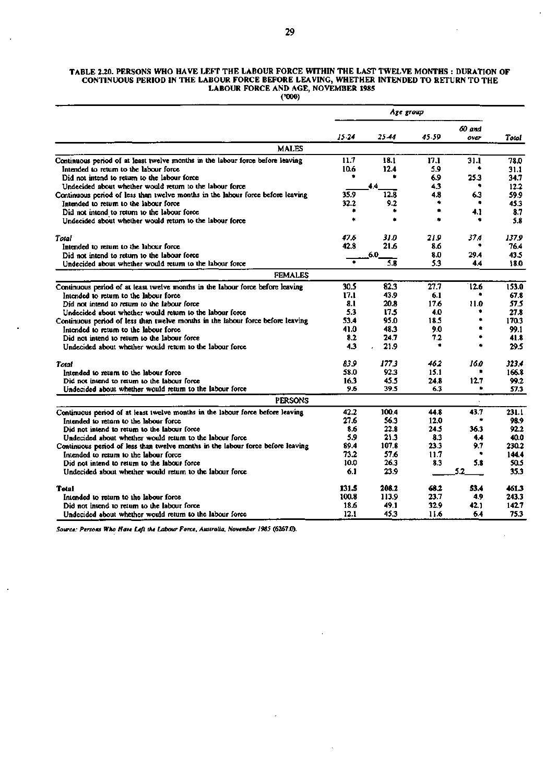# **29**

 $\overline{a}$ 

#### TABLE 2.20. PERSONS WHO HAVE LEFT THE LABOUR FORCE WITHIN THE LAST TWELVE MONTHS : DURATION OF CONTINUOUS PERIOD IN THE LABOUR FORCE BEFORE LEAVING, WHETHER INTENDED TO RETURN TO THE LABOUR FORCE AND AGE, NOVEMBER 1985

(•000)

|                                                                                 | $15 - 24$ | 25.44     | 45.59 | 60 and<br>over | Total |
|---------------------------------------------------------------------------------|-----------|-----------|-------|----------------|-------|
| <b>MALES</b>                                                                    |           |           |       |                |       |
| Continuous period of at least twelve months in the labour force before leaving  | 11.7      | 18.1      | 17.1  | 31.1           | 78.0  |
| Intended to return to the labour force                                          | 10.6      | 12.4      | 5.9   |                | 31.1  |
| Did not intend to return to the labour force                                    |           |           | 6.9   | 25.3           | 34.7  |
| Undecided about whether would return to the labour force                        |           | 4.4       | 4.3   | ٠              | 12.2  |
| Continuous period of less than twelve months in the labour force before leaving | 35.9      | 12.8      | 4.8   | 6.3            | 59.9  |
| Intended to return to the labour force                                          | 32.2      | 9.2       |       | ۰              | 45.3  |
| Did not intend to return to the labour force                                    |           | ۰         | ۰     | 4.1            | 8.7   |
| Undecided about whether would return to the labour force                        | é.        | $\bullet$ | ۰     | ٠              | 5.8   |
| Total                                                                           | 47.6      | 31 0      | 21.9  | 37.4           | 137.9 |
| Intended to return to the labour force                                          | 42.8      | 21.6      | 8.6   |                | 76.4  |
| Did not intend to return to the labour force                                    |           | 6.0       | 8.0   | 29.4           | 43.5  |
| Undecided about whether would return to the labour force                        | ۰         | 5.8       | 5.3   | 4.4            | 18.0  |
| <b>FEMALES</b>                                                                  |           |           |       |                |       |
| Continuous period of at least twelve months in the labour force before leaving  | 30.5      | 82.3      | 27.7  | 12.6           | 153.0 |
| Intended to return to the labour force                                          | 17.1      | 43.9      | 6.1   |                | 67.8  |
| Did not intend to return to the labour force                                    | 8.1       | 20.8      | 17.6  | 11.0           | 57.5  |
| Undecided about whether would return to the labour force                        | 5.3       | 17.5      | 4.0   |                | 27.8  |
| Continuous period of less than twelve months in the labour force before leaving | 53.4      | 95.0      | 18.5  | ٠              | 170.3 |
| Intended to return to the labour force                                          | 41.0      | 48.3      | 9.0   | ۰              | 99.1  |
| Did not intend to return to the labour force                                    | 8.2       | 24.7      | 7.2   | ۰              | 41.8  |
| Undecided about whether would return to the labour force                        | 4.3       | 21.9      |       |                | 29.5  |
| Total                                                                           | 839       | 177.3     | 46.2  | 16.0           | 323.4 |
| Intended to return to the labour force                                          | 58.0      | 92.3      | 15.1  |                | 166.8 |
| Did not intend to return to the labour force                                    | 16.3      | 45.5      | 24.8  | 12.7           | 99.2  |
| Undecided about whether would return to the labour force                        | 9.6       | 39.5      | 6.3   |                | 57.3  |
| PERSONS                                                                         |           |           |       |                |       |
| Continuous period of at least twelve months in the labour force before leaving  | 42.2      | 100.4     | 44.8  | 43.7           | 231.1 |
| Intended to return to the labour force                                          | 27.6      | 56.3      | 12.0  |                | 98.9  |
| Did not intend to return to the labour force                                    | 8.6       | 22.8      | 24.5  | 36.3           | 92.2  |
| Undecided about whether would return to the labour force                        | 5.9       | 21.3      | 8.3   | 4.4            | 40.0  |
| Continuous period of less than twelve months in the labour force before leaving | 89.4      | 107.8     | 23.3  | 9.7            | 230.2 |
| Intended to return to the labour force                                          | 73.2      | 57.6      | 11.7  | ٠              | 144.4 |
| Did not intend to return to the labour force                                    | 10.0      | 26.3      | 8.3   | 5.8            | 50.5  |
| Undecided about whether would return to the labour force                        | 6.1       | 23.9      |       | 5.2            | 35.3  |
| Total                                                                           | 131.5     | 208.2     | 68.2  | 53.4           | 461.3 |
| Intended to return to the labour force                                          | 100.8     | 113.9     | 23.7  | 4.9            | 243.3 |
| Did not intend to return to the labour force                                    | 18.6      | 49.1      | 32.9  | 42.1           | 142.7 |
| Undecided about whether would return to the labour force                        | 12.1      | 45.3      | 11.6  | 6.4            | 75.3  |

 $\bar{\mathbf{v}}$ 

*Source: Persons Who Have Left the Labour Force, Australia, November 1985* **(6267.0).** 

l.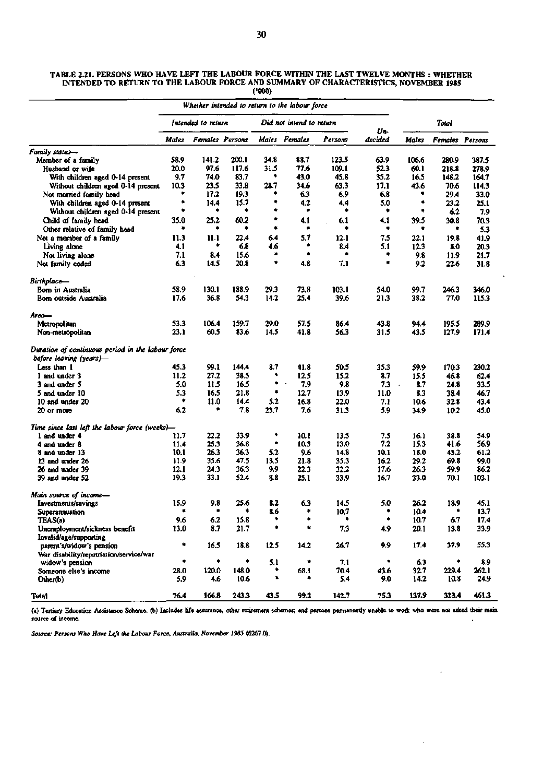| TABLE 2.21. PERSONS WHO HAVE LEFT THE LABOUR FORCE WITHIN THE LAST TWELVE MONTHS: WHETHER<br>INTENDED TO RETURN TO THE LABOUR FORCE AND SUMMARY OF CHARACTERISTICS, NOVEMBER 1985<br>('000) |
|---------------------------------------------------------------------------------------------------------------------------------------------------------------------------------------------|
| Whether intended to return to the labour force                                                                                                                                              |

|                                                         |       | Intended to return |                 |      | Did not intend to return |           |                | Total                           |       |                 |
|---------------------------------------------------------|-------|--------------------|-----------------|------|--------------------------|-----------|----------------|---------------------------------|-------|-----------------|
|                                                         | Males |                    | Females Persons |      | Males Females            | Persons   | Un-<br>decided | Males                           |       | Females Persons |
| Family status-                                          |       |                    |                 |      |                          |           |                |                                 |       |                 |
| Member of a family                                      | 58.9  | 141.2              | 200.1           | 34.8 | 88.7                     | 123.5     | 63.9           | 106.6                           | 280.9 | 387.5           |
| Husband or wife                                         | 20.0  | 97.6               | 117.6           | 31.5 | 77.6                     | 109.1     | 52.3           | 60.1                            | 218.8 | 278.9           |
| With children aged 0-14 present                         | 9.7   | 74.0               | 83.7            | ۰    | 43.0                     | 45.8      | 35.2           | 16.5                            | 148.2 | 164.7           |
| Without children aged 0-14 present                      | 10.3  | 23.5               | 33.8            | 28.7 | 34.6                     | 63.3      | 17.1           | 43.6                            | 70.6  | 114.3           |
| Not married family head                                 | ۰     | 17.2               | 19.3            |      | 6.3                      | 6.9       | 6.8            |                                 | 29.4  | 33.0            |
| With children aged 0-14 present                         | ۰     | 14.4               | 15.7            | ۰    | 4.2                      | 4.4       | 5.0            | ۰                               | 23.2  | 25.1            |
| Without children aged 0-14 present                      | ۰     | ۰                  | ۰               | ۰    | ۰                        | ۰         | ۰              | ۰                               | 6.2   | 7.9             |
| Child of family head                                    | 35.0  | 25.2               | 60.2            | ۰    | 4.1                      | 6.1       | 4.1            | 39.5                            | 30.8  | 70.3            |
| Other relative of family head                           | ۰     |                    | ٠               | ۰    | ۰                        | ۰         | ۰              |                                 | ۰     | 5.3             |
| Not a member of a family                                | 11.3  | 11.1               | 22.4            | 6.4  | 5.7                      | 12.1      | 7.5            | 22.1                            | 19.8  | 41.9            |
| Living alone                                            | 4.1   | ۰                  | 6.8             | 4.6  | ۰                        | 8.4       | 5.1            | 12.3                            | 8.0   | 20.3            |
| Not living alone                                        | 7.1   | 8.4                | 15.6            | ۰    | ٠                        | ٠         | ٠              | 9.8                             | 11.9  | 21.7            |
| Not family coded                                        | 6.3   | 14.5               | 20.8            | ۰    | 4.8                      | 7.1       | ٠              | 9.2                             | 22.6  | 31.8            |
|                                                         |       |                    |                 |      |                          |           |                |                                 |       |                 |
| Birthplace—                                             |       |                    |                 |      |                          |           |                |                                 |       |                 |
| Bom in Australia                                        | 58.9  | 130.1              | 188.9           | 29.3 | 73.8                     | 103.1     | 54.0           | 99.7                            | 246.3 | 346.0           |
| Born outside Australia                                  | 17.6  | 36.8               | 54.3            | 14.2 | 25.4                     | 39.6      | 21.3           | 38.2                            | 77.0  | 115.3           |
| Area—                                                   |       |                    |                 |      |                          |           |                |                                 |       |                 |
| Metropolitan                                            | 53.3  | 106.4              | 159.7           | 29.0 | 57.5                     | 86.4      | 43.8           | 94.4                            | 195.5 | 289.9           |
| Non-metropolitan                                        | 23.1  | 60.5               | 83.6            | 14.5 | 41.8                     | 56.3      | 31.5           | 43.5                            | 127.9 | 171.4           |
| Duration of continuous period in the labour force       |       |                    |                 |      |                          |           |                |                                 |       |                 |
| before leaving (years)-                                 |       |                    |                 |      |                          |           |                |                                 |       |                 |
| Less than 1                                             | 45.3  | 99.1               | 144.4           | 8.7  | 41.8                     | 50.5      | 35.3           | 59.9                            | 170.3 | 230.2           |
| 1 and under 3                                           | 11.2  | 27.2               | 38.5            | ۰    | 12.5                     | 15.2      | 8.7            | 15.5                            | 46.8  | 62.4            |
| 3 and under 5                                           | 5.0   | 11.5               | 16.5            | ۰    | 7.9                      | 9.8       | 7.3            | 8.7<br>$\overline{\phantom{a}}$ | 24.8  | 33.5            |
| 5 and under 10                                          | 5.3   | 16.5               | 21.8            | ۰    | 12.7                     | 13.9      | 11.0           | 8.3                             | 38.4  | 46.7            |
| 10 and under 20                                         | ٠     | 11.0               | 14.4            | 5.2  | 16.8                     | 22.0      | 7.1            | 10.6                            | 32.8  | 43.4            |
| 20 or more                                              | 6.2   |                    | 7.8             | 23.7 | 7.6                      | 31.3      | 5.9            | 34.9                            | 10.2  | 45.0            |
| Time since last left the labour force (weeks)-          |       |                    |                 |      |                          |           |                |                                 |       |                 |
| 1 and under 4                                           | 11.7  | 22.2               | 33.9            | ۰    | 10.1                     | 13.5      | 7.5            | 16.1                            | 38.8  | 54.9            |
| 4 and under 8                                           | 11.4  | 25.3               | 36.8            | ۰    | 10.3                     | 13.0      | 7.2            | 15.3                            | 41.6  | 56.9            |
| 8 and under 13                                          | 10.1  | 26.3               | 36.3            | 5.2  | 9.6                      | 14.8      | 10.1           | 18.0                            | 43.2  | 61.2            |
| 13 and under 26                                         | 11.9  | 35.6               | 47.5            | 13.5 | 21.8                     | 35.3      | 16.2           | 29.2                            | 69.8  | 99.0            |
| 26 and under 39                                         | 12.1  | 24.3               | 36.3            | 9.9  | 22.3                     | 32,2      | 17.6           | 26.3                            | 59.9  | 86.2            |
| 39 and under 52                                         | 19.3  | 33.1               | 52.4            | 8.8  | 25.1                     | 33.9      | 16.7           | 33.0                            | 70.1  | 103.1           |
| Main source of income-                                  |       |                    |                 |      |                          |           |                |                                 |       |                 |
|                                                         | 15.9  | 9.8                | 25.6            | 8.2  | 6.3                      | 14.5      | 5.0            | 26.2                            | 18.9  | 45.1            |
| Investments/savings                                     | ۰     |                    | ۰               | 8.6  | ۰                        | 10.7      | ۰              | 10.4                            | ۰     | 13.7            |
| Superannuation                                          | 9.6   | 6.2                | 15.8            | ۰    | ۰                        | ٠         | ۰              | 10.7                            | 6.7   | 17.4            |
| TEAS(a)                                                 |       |                    |                 |      | ۰                        |           |                |                                 |       |                 |
| Unemployment/sickness benefit<br>Invalid/age/supporting | 13.0  | 8.7                | 21.7            |      |                          | $\bf 7.3$ | 4.9            | 20.1                            | 13.8  | 33.9            |
| parent's/widow's pension                                | ٠     | 16.5               | 18.8            | 12.5 | 14.2                     | 26.7      | 9.9            | 17.4                            | 37.9  | 55.3            |
| War disability/repatriation/service/war                 |       |                    |                 |      |                          |           |                |                                 |       |                 |
| widow's pension                                         | ٠     | ۰                  | ٠               | 5.1  | ۰                        | 7.1       | ۰              | 6.3                             | ٠     | 8.9             |
| Someone else's income                                   | 28.0  | 120.0              | 148.0           | ۰    | 68.1                     | 70.4      | 43.6           | 32.7                            | 229.4 | 262.1           |
| Other(b)                                                | 5.9   | 4.6                | 10.6            | ۰    |                          | 5.4       | 9.0            | 14.2                            | 10.8  | 24.9            |
| Total                                                   | 76.4  | 166.8              | 243.3           | 43.5 | 99.2                     | 142.7     | 75.3           | 137.9                           | 323.4 | 461.3           |

**(a) Tertiary Education Assistance Scheme, (b) Includes life assurance, other retirement schemes; and persons permanently unable to woik who were not asked their main source of income.** 

*Source: Persons Who Hate Left the Labour Force, Australia, November 1985* **(6267.0).**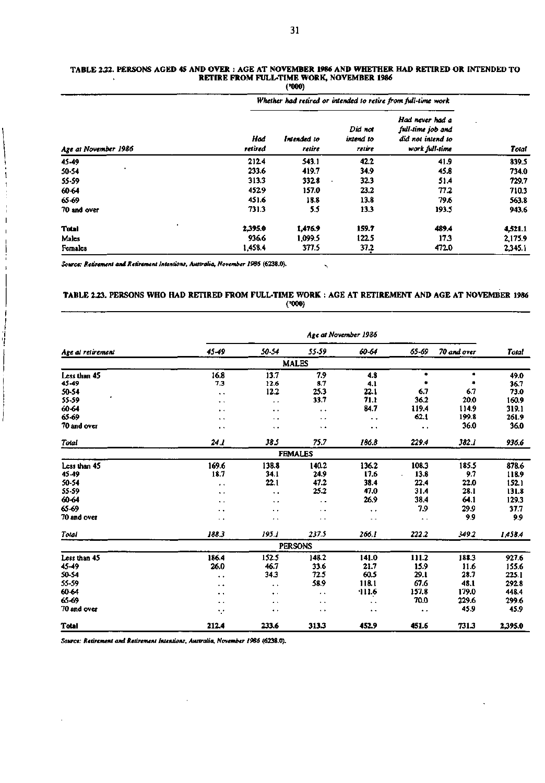|                      |                | .                                                             |                                |                                                                             |         |  |  |
|----------------------|----------------|---------------------------------------------------------------|--------------------------------|-----------------------------------------------------------------------------|---------|--|--|
| Age at November 1986 |                | Whether had retired or intended to retire from full-time work |                                |                                                                             |         |  |  |
|                      | Hod<br>retired | Intended to<br>retire                                         | Did not<br>intend to<br>retire | Had never had a<br>full-time job and<br>did not intend to<br>work full-time | Total   |  |  |
| 45-49                | 212.4          | 543.1                                                         | 42.2                           | 41.9                                                                        | 839.5   |  |  |
| 50-54                | 233.6          | 419.7                                                         | 34.9                           | 45.8                                                                        | 734.0   |  |  |
| 55-59                | 313.3          | 332.8                                                         | 32.3<br>٠                      | 51.4                                                                        | 729.7   |  |  |
| 60-64                | 452.9          | 157.0                                                         | 23.2                           | 77.2                                                                        | 710.3   |  |  |
| 65-69                | 451.6          | 18.8                                                          | 13.8                           | 79.6                                                                        | 563.8   |  |  |
| 70 and over          | 731.3          | 5.5                                                           | 13.3                           | 193.5                                                                       | 943.6   |  |  |
| ٠<br><b>Total</b>    | 2,395.0        | 1,476.9                                                       | 159.7                          | 489.4                                                                       | 4,521.1 |  |  |
| Males                | 936.6          | 1.099.5                                                       | 122.5                          | 17.3                                                                        | 2,175.9 |  |  |
| Females              | 1,458.4        | 377.5                                                         | 37.2                           | 472.0                                                                       | 2,345.1 |  |  |

#### **TABLE 2.22. PERSONS AGED 45 AND OVER : AGE AT NOVEMBER 1986 AND WHETHER HAD RETIRED OR INTENDED TO RETIRE FROM FULL-TIME WORK, NOVEMBER 1986 (•000)**

*Source: Retirement and Retirement Intentions, Australia, November 1986* **(6238.0).** 

 $\begin{array}{c} \hline \end{array}$ 

 $\frac{1}{1}$  $\overline{1}$  $\overline{1}$ 

J

 $\overline{1}$ 

 $\overline{1}$ 

### **TABLE 2.23. PERSONS WHO HAD RETIRED FROM FULL-TIME WORK : AGE AT RETIREMENT AND AGE AT NOVEMBER 1986 ('000)**

 $\bar{\mathbf{v}}$ 

|                   | Age at November 1986 |                      |                      |                      |                      |             |              |
|-------------------|----------------------|----------------------|----------------------|----------------------|----------------------|-------------|--------------|
| Age at retirement | 45-49                | 50-54                | 55.59                | 60-64                | 65-69                | 70 and over | <b>Total</b> |
|                   |                      |                      | <b>MALES</b>         |                      |                      |             |              |
| Less than 45      | 16.8                 | 13.7                 | 7.9                  | 4.8                  |                      | ۰           | 49.0         |
| 45-49             | 7.3                  | 12.6                 | 8.7                  | 4.1                  |                      | ٠           | 36.7         |
| 50-54             | $\ddot{\phantom{1}}$ | 12.2                 | 25.3                 | 22.1                 | 6.7                  | 6.7         | 73.0         |
| 55-59             | . .                  | $\ddot{\phantom{1}}$ | 33.7                 | 71.1                 | 36.2                 | 20.0        | 160.9        |
| 60-64             | $\ddot{\phantom{1}}$ | $\ddot{\phantom{0}}$ | $\ddot{\phantom{1}}$ | 84.7                 | 119.4                | 114.9       | 319.1        |
| 65-69             | $\ddot{\phantom{0}}$ | $\ddot{\phantom{0}}$ | $\cdot$              | ٠.                   | 62.1                 | 199.8       | 261.9        |
| 70 and over       | $\ddot{\phantom{1}}$ | $\ddot{\phantom{1}}$ | $\ddot{\phantom{1}}$ | $\ddot{\phantom{1}}$ | . .                  | 36.0        | 36.0         |
| Total             | 24.1                 | 38.5                 | 75.7                 | 186.8                | 229.4                | 382.1       | 936.6        |
|                   |                      |                      | <b>FEMALES</b>       |                      |                      |             |              |
| Less than 45      | 169.6                | 138.8                | 140.2                | 136.2                | 108.3                | 185.5       | 878.6        |
| 45-49             | 18.7                 | 34.1                 | 24.9                 | 17.6                 | 13.8                 | 9.7         | 118.9        |
| 50-54             | $\bullet$ $\bullet$  | 22.1                 | 47.2                 | 38.4                 | 22.4                 | 22.0        | 152.1        |
| 55-59             | $\ddot{\phantom{1}}$ | $\ddot{\phantom{1}}$ | 25.2                 | 47.0                 | 31.4                 | 28.1        | 131.8        |
| 60-64             | $\ddot{\phantom{1}}$ | $\ddot{\phantom{1}}$ | . .                  | 26.9                 | 38.4                 | 64.1        | 129.3        |
| 65-69             | $\ddot{\phantom{0}}$ | $\ddot{\phantom{0}}$ | . .                  | $\ddot{\phantom{1}}$ | 7.9                  | 29.9        | 37.7         |
| 70 and over       | $\ddot{\phantom{0}}$ | $\bullet$            | $\ddot{\phantom{1}}$ | . .                  | $\ddot{\phantom{1}}$ | 9.9         | 9.9          |
| <b>Total</b>      | 188.3                | 195.1                | 237.5                | 266.1                | 222.2                | 349.2       | 1,458.4      |
|                   |                      |                      | <b>PERSONS</b>       |                      |                      |             |              |
| Less than 45      | 186.4                | 152.5                | 148.2                | 141.0                | 111.2                | 188.3       | 927.6        |
| 45-49             | 26.0                 | 46.7                 | 33.6                 | 21.7                 | 15.9                 | 11.6        | 155.6        |
| 50-54             | $\ddot{\phantom{1}}$ | 34.3                 | 72.5                 | 60.5                 | 29.1                 | 28.7        | 225.1        |
| 55-59             | ۰.                   | $\ddot{\phantom{1}}$ | 58.9                 | 118.1                | 67.6                 | 48.1        | 292.8        |
| 60-64             | . .                  | $\ddot{\phantom{1}}$ | . .                  | 111.6                | 157.8                | 179.0       | 448.4        |
| 65-69             | $\bullet\ \bullet$   | $\bullet$            | . .                  | $\ddot{\phantom{1}}$ | 70.0                 | 229.6       | 299.6        |
| 70 and over       | ۰,۰                  | $\ddot{\phantom{1}}$ | $\ddot{\phantom{1}}$ | $\ddot{\phantom{1}}$ | $\ddot{\phantom{1}}$ | 45.9        | 45.9         |
| <b>Total</b>      | 212.4                | 233.6                | 313.3                | 452.9                | 451.6                | 731.3       | 2,395.0      |

*Source: Retirement and Retirement Intentions, Australia, November 1986* **(6238.0).**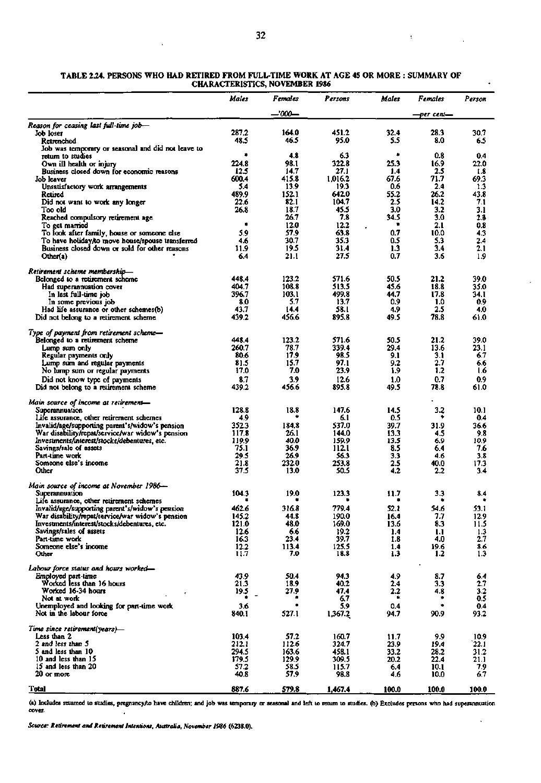|                                                                                                     | Males          | Females        | Persons        | Males        | Females      | Person       |
|-----------------------------------------------------------------------------------------------------|----------------|----------------|----------------|--------------|--------------|--------------|
|                                                                                                     |                | --'000--       |                |              | -per cent—   |              |
| Reason for ceasing last full-time job—                                                              |                |                |                |              |              |              |
| Job loser<br>Retrenched                                                                             | 287.2<br>48.5  | 164.0<br>46.5  | 451.2<br>95.0  | 32.4<br>5.5  | 28.3<br>8.0  | 30.7<br>65   |
| Job was temporary or seasonal and did not leave to                                                  |                |                |                |              |              |              |
| return to studies                                                                                   | ٠              | 4.8            | 6.3            | ۰            | 0.8          | 0.4          |
| Own ill health or injury                                                                            | 224.8<br>12.5  | 98.1<br>14.7   | 322.8<br>27.1  | 25.3<br>1.4  | 16.9<br>25   | 22.0<br>1.8  |
| Business closed down for economic reasons<br>Job leaver                                             | 600.4          | 415.8          | 1.016.2        | 67.6         | 71.7         | 69.3         |
| Unsatisfactory work arrangements                                                                    | 5.4            | 13.9           | 19.3           | 0.6          | 2.4          | 1.3          |
| Retired                                                                                             | 489.9          | 152.1          | 642.0          | 55.2         | 26.2         | 43.8         |
| Did not want to work any longer<br>Too old                                                          | 22.6<br>26.8   | 82.1<br>18.7   | 104.7<br>45.5  | 2.5<br>3.0   | 14.2<br>3.2  | 7.1<br>3.1   |
| Reached compulsory retirement age                                                                   |                | 26.7           | 7.8            | 34.S         | 3.0          | 13           |
| To get married                                                                                      | ۰              | 12.0           | 12.2           | ۰            | 2.1          | 0.8          |
| To look after family, house or someone else                                                         | 5.9            | 57.9           | 63.8           | 0.7          | 10.0         | 4.3          |
| To have holiday/to move house/spouse transferred<br>Business closed down or sold for other reasons  | 4.6<br>11.9    | 30.7<br>19.5   | 35.3<br>31.4   | 0.5<br>1.3   | 5.3<br>3.4   | 2.4<br>2.1   |
| Other(a)                                                                                            | 6.4            | 21.1           | 27.5           | 0.7          | 3.6          | 1.9          |
| Retirement scheme membership—                                                                       |                |                |                |              |              |              |
| Belonged to a retirement scheme<br>Had superannuation cover                                         | 448.4<br>404.7 | 123.2<br>108.8 | 571.6<br>513.5 | 50.5<br>45.6 | 21.2<br>18.8 | 39.0<br>35.0 |
| In last full-time job                                                                               | 396.7          | 103.1          | 499.8          | 44.7         | 17.8         | 34.1         |
| In some previous job                                                                                | 8.0            | 57             | 13.7           | 0.9          | 1.0          | 0.9          |
| Had life assurance or other schemes(b)                                                              | 43.7           | 14.4           | 58.I           | 4.9          | 2.5          | 4.0          |
| Did not belong to a retirement scheme                                                               | 439.2          | 456.6          | 895.8          | 49.5         | 78.8         | 61.0         |
| Type of payment from retirement scheme—                                                             | 448.4          | 123.2          | 571.6          | 50.5         | 21.2         | 39.0         |
| Belonged to a retirement scheme<br>Lump sum only                                                    | 260.7          | 78.7           | 339.4          | 29.4         | 13.6         | 23.1         |
| Regular payments only                                                                               | 80.6           | 17.9           | 98.5           | 9.1          | 3.1          | 6.7          |
| Lump sum and regular payments                                                                       | 81.5           | 15.7           | 97.1           | 9.2          | 27           | 6.6          |
| No lump sum or regular payments                                                                     | 17.0           | 7.0<br>3.9     | 23.9           | 1.9<br>1.0   | 1.2<br>0.7   | I.6<br>0.9   |
| Did not know type of payments<br>Did not belong to a retirement scheme                              | 8.7<br>439.2   | 456.6          | 12.6<br>895.8  | 49.5         | 78.8         | 61.0         |
| Main source of income at retirement—                                                                |                |                |                |              |              |              |
| Superannuation                                                                                      | 128.8          | 18.8           | 147.6          | 14.5         | 3.2          | 10.1         |
| Life assurance, other retirement schemes                                                            | 4.9<br>352.3   | 184.8          | 6.1<br>537.0   | 0.5<br>39.7  | ٠<br>31.9    | 0.4          |
| Invalid/age/supporting parent's/widow's pension<br>War disability/repat/service/war widow's pension | 117.8          | 26.1           | 144.0          | 13.3         | 4.5          | 36.6<br>9.8  |
| Investments/interest/stocks/debentures, etc.                                                        | 119.9          | 40.0           | 159.9          | 13.5         | 6.9          | 10.9         |
| Savings/sale of assets                                                                              | 75.1           | 36.9           | 112.1          | 8.5          | 6.4          | 7.6          |
| Part-time work<br>Someone else's income                                                             | 29.5<br>21.8   | 26.9<br>232.0  | 56.3<br>253.8  | 3.3<br>2.5   | 4.6<br>40.0  | 3.8<br>17.3  |
| Other                                                                                               | 37.5           | 13.0           | 50.5           | 4.2          | 2.2          | 3.4          |
| Main source of income at November 1986—                                                             |                |                |                |              |              |              |
| Superanmuation<br>Life assurance, other retirement schemes                                          | 104.3          | 19.0           | 123.3          | 11.7         | 3.3<br>٠     | 8.4          |
| Invalid/age/supporting parent s/widow's pension                                                     | 462.6          | 316.8          | 779.4          | 52.1         | 54.6         | 53.1         |
| War disability/repat/service/war widow's pension                                                    | 145.2          | 44.8           | 190.0          | 16.4         | 7.7          | 12.9         |
| Investments/interest/stocks/debentures, etc.                                                        | 121.0          | 48.0           | 169.0          | 13.6         | 8.3          | 11.5         |
| Savings/sales of assets<br>Part-time work                                                           | 12.6<br>16.3   | 6.6<br>23.4    | 19.2<br>39.7   | 1.4<br>1.8   | IJ<br>4.0    | 1.3<br>2.7   |
| Someone else's income                                                                               | 12.2           | 113.4          | 125.5          | 1.4          | 19.6         | 8.6          |
| Other                                                                                               | 11.7           | 7.0            | 18.8           | 1.3          | 1.2          | 1.3          |
| Labour force status and hours worked—                                                               |                |                |                |              |              |              |
| Employed part-time<br>Worked less than 16 hours                                                     | 43.9<br>21.3   | 50.4<br>18.9   | 94.3<br>40.2   | 4.9<br>2.4   | 8.7<br>3.3   | 6.4<br>2.7   |
| Worked 16-34 hours                                                                                  | 19.5           | 27.9           | 47.4           | 2.2          | 4.8          | 3.2          |
| Not at work                                                                                         | ٠              |                | 6.7            | ٠            | ٠            | 0.5          |
| Unemployed and looking for part-time work<br>Not in the labour force                                | 3.6<br>840.1   | 527.1          | 5.9<br>1,367.2 | 0.4<br>94.7  | ٠<br>90.9    | 0.4<br>93.2  |
| Time since retirement(years)—                                                                       |                |                |                |              |              |              |
| Less than 2                                                                                         | 103.4          | 57.2           | 160.7          | 11.7         | 9.9          | 10.9         |
| 2 and less than 5                                                                                   | 212.1          | 112.6          | 324.7          | 23.9         | 19.4         | 22.1         |
| 5 and less than 10<br>10 and less than 15                                                           | 294.5<br>179.5 | 163.6<br>129.9 | 458.1<br>309.5 | 33.2<br>20.2 | 28.2<br>22.4 | 31.2<br>21.1 |
| 15 and less than 20                                                                                 | 57.2           | 58.5           | 115.7          | 6.4          | 10.1         | 7.9          |
| 20 or more                                                                                          | 40.8           | 57.9           | 98.8           | 4.6          | 10.0         | 6.7          |
| <b>Total</b>                                                                                        | 887.6          | 579.8          | 1,467.4        | 100.0        | 100.0        | 100.0        |

**TABLE** *224.* **PERSONS WHO HAD RETIRED FROM FULLTIME WORK AT AGE 45 OR MORE : CHARACTERISTICS, NOVEMBER 1986**  SUMMARY OF

(a) Includes returned to studies, pregnancy/to have children; and job was temporary or seasonal and left to return to studies. (b) Excludes persons who had superannuation cover.

*Source: Retirement and Retirement Intentions, Australia, November 1986* **(6238.0).** 

J.

 $\bar{t}$ 

 $\cdot$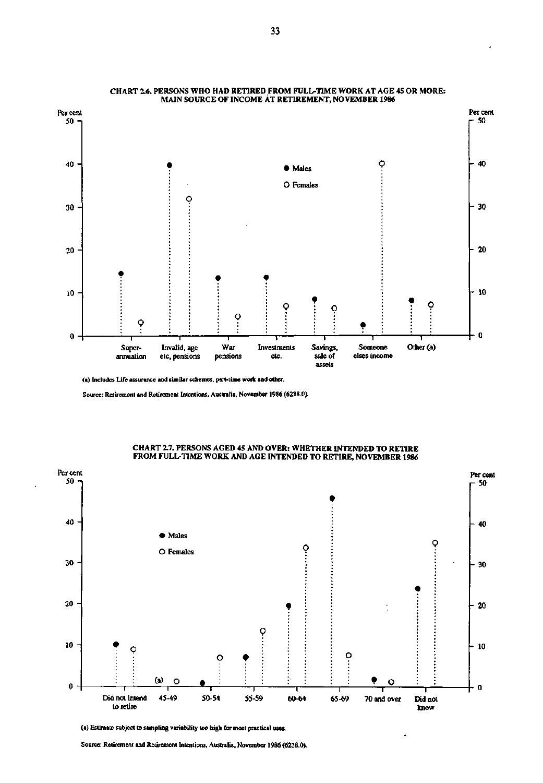

### **CHART 2.6. PERSONS WHO HAD RETIRED FROM FULL-TIME WORK AT AGE 45 OR MORE: MAIN SOURCE OF INCOME AT RETIREMENT, NOVEMBER 1986**

**(a) Includes Life assurance and similar schemes, part-time work and other.** 

**Source: Retirement and Retirement Intentions, Australia, November 1986 (6238.0).** 



 $\cdot$ 

### **CHART 2.7. PERSONS AGED 45 AND OVER: WHETHER INTENDED TO RETIRE FROM FULL-TIME WORK AND AGE INTENDED TO RETIRE, NOVEMBER 1986**

**(a) Estimate subject to sampling variability too high for most practical uses.** 

**Source: Retirement and Retirement Intentions, Australia, November 1986 (6238.0).**